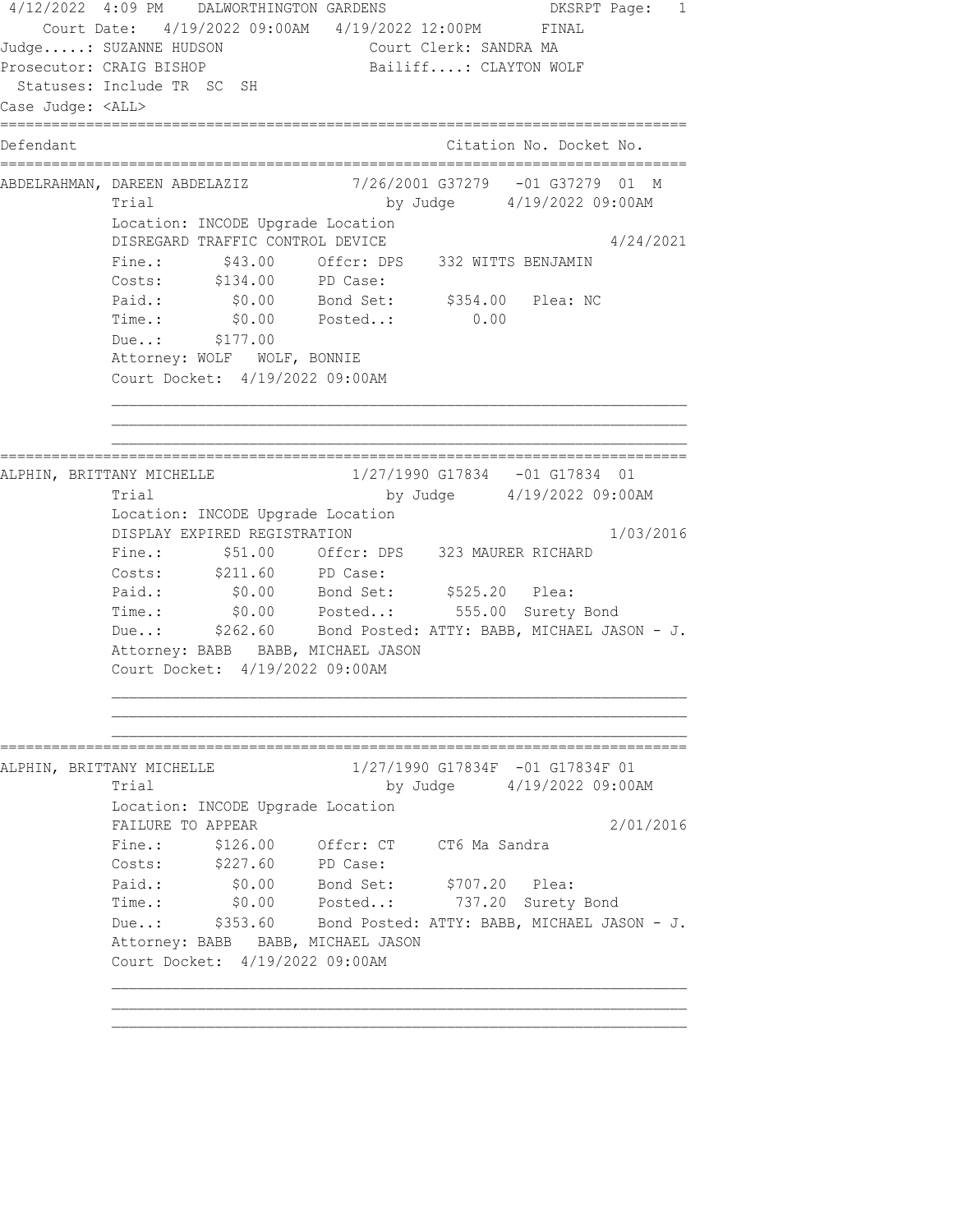4/12/2022 4:09 PM DALWORTHINGTON GARDENS DKSRPT Page: 1 Court Date: 4/19/2022 09:00AM 4/19/2022 12:00PM FINAL Judge.....: SUZANNE HUDSON Court Clerk: SANDRA MA Prosecutor: CRAIG BISHOP Bailiff....: CLAYTON WOLF Statuses: Include TR SC SH Case Judge: <ALL> ================================================================================ Defendant **Contract Contract Contract Citation No.** Docket No. ================================================================================ ABDELRAHMAN, DAREEN ABDELAZIZ 7/26/2001 G37279 -01 G37279 01 M Trial by Judge 4/19/2022 09:00AM Location: INCODE Upgrade Location DISREGARD TRAFFIC CONTROL DEVICE 4/24/2021 Fine.: \$43.00 Offcr: DPS 332 WITTS BENJAMIN Costs: \$134.00 PD Case: Paid.: \$0.00 Bond Set: \$354.00 Plea: NC Time.:  $$0.00$  Posted..: 0.00 Due..: \$177.00 Attorney: WOLF WOLF, BONNIE Court Docket: 4/19/2022 09:00AM ================================================================================ ALPHIN, BRITTANY MICHELLE 1/27/1990 G17834 -01 G17834 01 Trial by Judge  $4/19/2022$  09:00AM Location: INCODE Upgrade Location DISPLAY EXPIRED REGISTRATION 1/03/2016 Fine.:  $$51.00$  Offcr: DPS 323 MAURER RICHARD Costs: \$211.60 PD Case: Paid.: \$0.00 Bond Set: \$525.20 Plea: Time.: \$0.00 Posted..: 555.00 Surety Bond Due..: \$262.60 Bond Posted: ATTY: BABB, MICHAEL JASON - J. Attorney: BABB BABB, MICHAEL JASON Court Docket: 4/19/2022 09:00AM ================================================================================ ALPHIN, BRITTANY MICHELLE 1/27/1990 G17834F -01 G17834F 01 Trial by Judge  $4/19/2022$  09:00AM Location: INCODE Upgrade Location FAILURE TO APPEAR 2/01/2016 Fine.: \$126.00 Offcr: CT CT6 Ma Sandra Costs: \$227.60 PD Case: Paid.: \$0.00 Bond Set: \$707.20 Plea: Time.: \$0.00 Posted..: 737.20 Surety Bond Due..: \$353.60 Bond Posted: ATTY: BABB, MICHAEL JASON - J. Attorney: BABB BABB, MICHAEL JASON Court Docket: 4/19/2022 09:00AM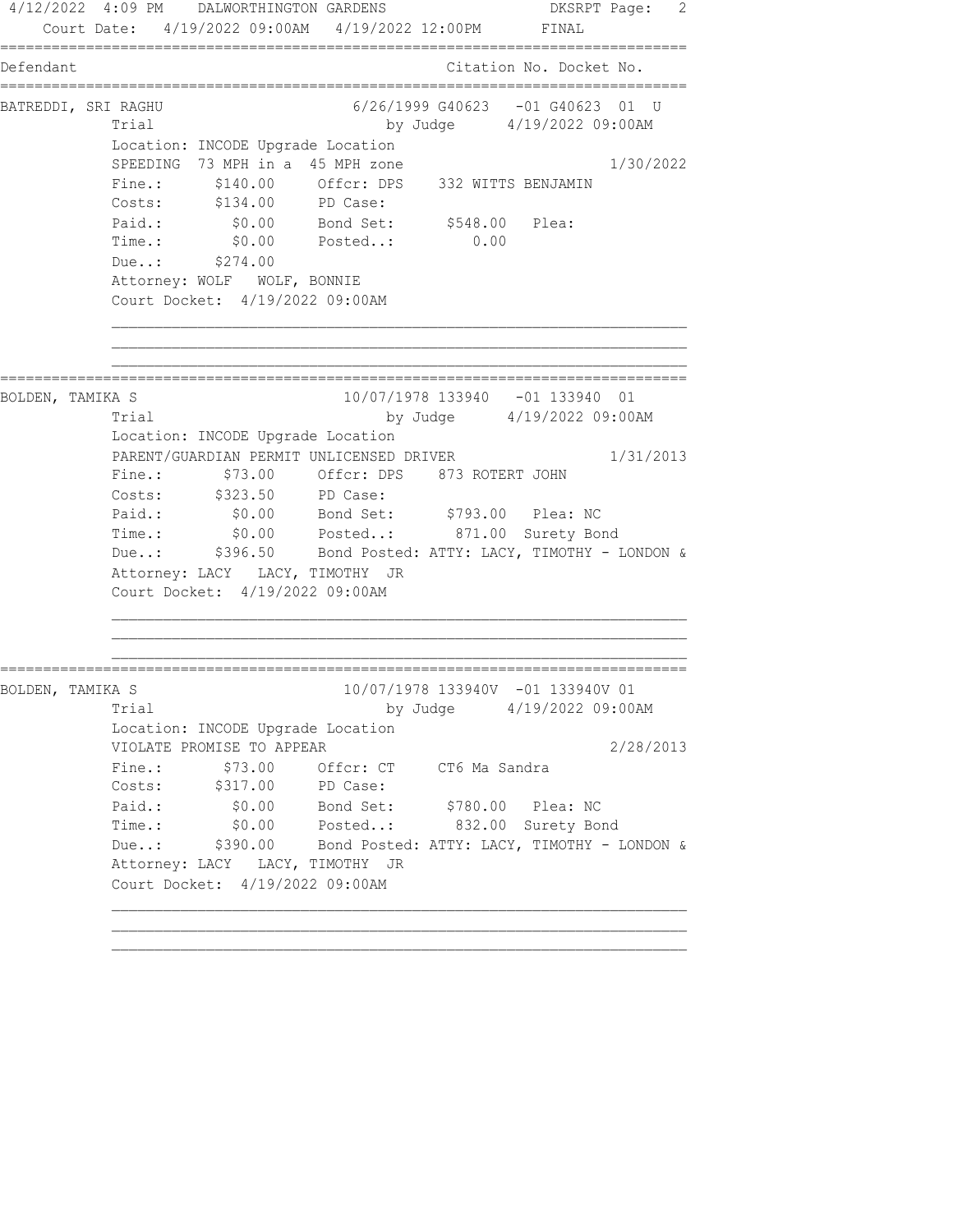4/12/2022 4:09 PM DALWORTHINGTON GARDENS DESRPT Page: 2 Court Date: 4/19/2022 09:00AM 4/19/2022 12:00PM FINAL ================================================================================ Defendant Citation No. Docket No. ================================================================================ BATREDDI, SRI RAGHU 6/26/1999 G40623 -01 G40623 01 U Trial by Judge  $4/19/2022$  09:00AM Location: INCODE Upgrade Location SPEEDING 73 MPH in a 45 MPH zone 1/30/2022 Fine.: \$140.00 Offcr: DPS 332 WITTS BENJAMIN Costs: \$134.00 PD Case: Paid.: \$0.00 Bond Set: \$548.00 Plea: Time.: \$0.00 Posted..: 0.00 Due..: \$274.00 Attorney: WOLF WOLF, BONNIE Court Docket: 4/19/2022 09:00AM ================================================================================ BOLDEN, TAMIKA S 10/07/1978 133940 -01 133940 01 Trial by Judge 4/19/2022 09:00AM Location: INCODE Upgrade Location PARENT/GUARDIAN PERMIT UNLICENSED DRIVER 1/31/2013 Fine.: \$73.00 Offcr: DPS 873 ROTERT JOHN Costs: \$323.50 PD Case: Paid.: \$0.00 Bond Set: \$793.00 Plea: NC Time.: \$0.00 Posted..: 871.00 Surety Bond Due..: \$396.50 Bond Posted: ATTY: LACY, TIMOTHY - LONDON & Attorney: LACY LACY, TIMOTHY JR Court Docket: 4/19/2022 09:00AM ================================================================================ BOLDEN, TAMIKA S 10/07/1978 133940V -01 133940V 01 Trial by Judge 4/19/2022 09:00AM Location: INCODE Upgrade Location VIOLATE PROMISE TO APPEAR 2/28/2013 Fine.: \$73.00 Offcr: CT CT6 Ma Sandra Costs: \$317.00 PD Case: Paid.: \$0.00 Bond Set: \$780.00 Plea: NC Time.: \$0.00 Posted..: 832.00 Surety Bond Due..: \$390.00 Bond Posted: ATTY: LACY, TIMOTHY - LONDON & Attorney: LACY LACY, TIMOTHY JR Court Docket: 4/19/2022 09:00AM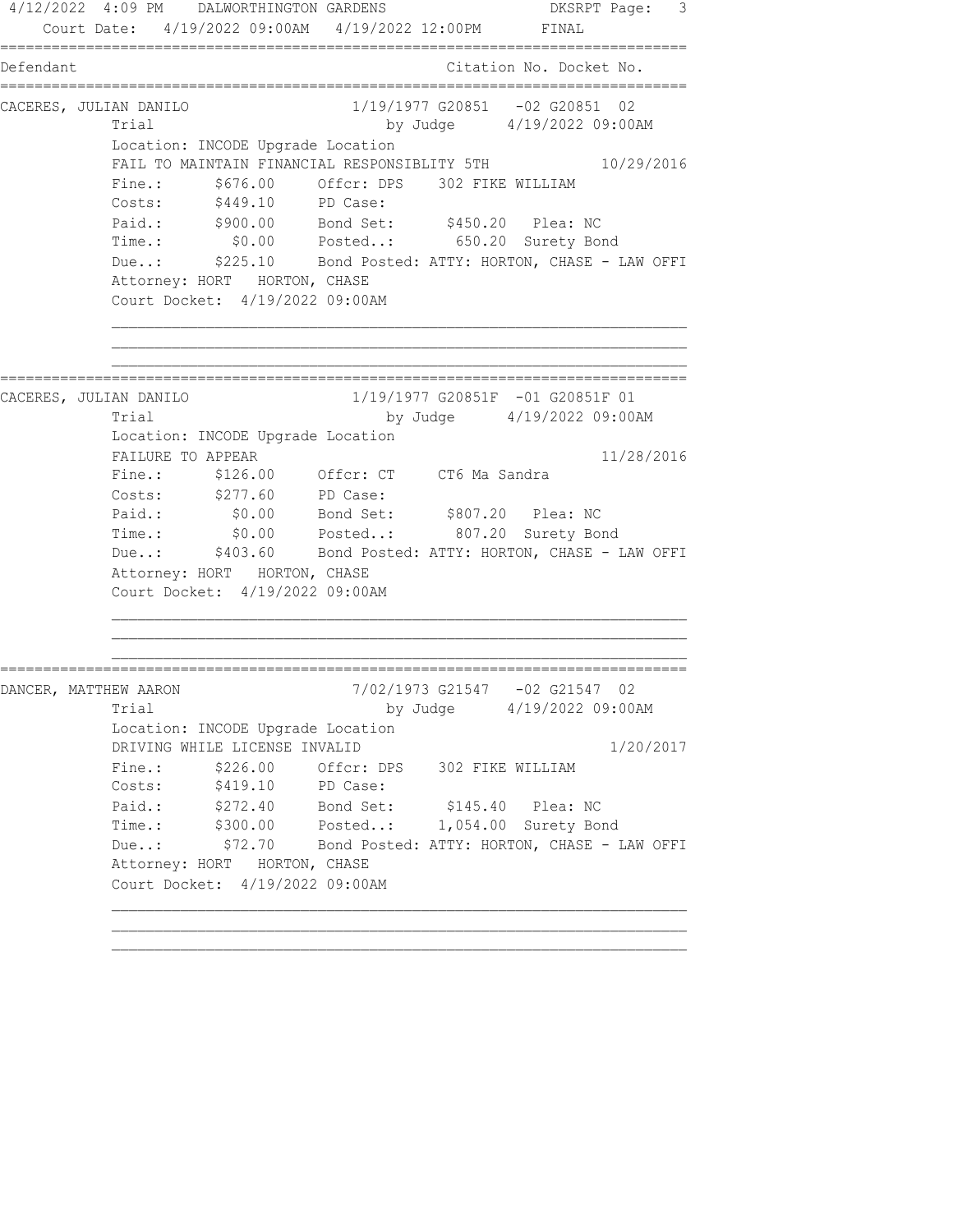4/12/2022 4:09 PM DALWORTHINGTON GARDENS DKSRPT Page: 3 Court Date: 4/19/2022 09:00AM 4/19/2022 12:00PM FINAL ================================================================================ Defendant Citation No. Docket No. ================================================================================ CACERES, JULIAN DANILO 1/19/1977 G20851 -02 G20851 02 Trial by Judge 4/19/2022 09:00AM Location: INCODE Upgrade Location FAIL TO MAINTAIN FINANCIAL RESPONSIBLITY 5TH  $10/29/2016$ Fine.: \$676.00 Offcr: DPS 302 FIKE WILLIAM Costs: \$449.10 PD Case: Paid.: \$900.00 Bond Set: \$450.20 Plea: NC Time.: \$0.00 Posted..: 650.20 Surety Bond Due..: \$225.10 Bond Posted: ATTY: HORTON, CHASE - LAW OFFI Attorney: HORT HORTON, CHASE Court Docket: 4/19/2022 09:00AM ================================================================================ CACERES, JULIAN DANILO 1/19/1977 G20851F -01 G20851F 01 Trial by Judge 4/19/2022 09:00AM Location: INCODE Upgrade Location FAILURE TO APPEAR 11/28/2016 Fine.: \$126.00 Offcr: CT CT6 Ma Sandra Costs: \$277.60 PD Case: Paid.: \$0.00 Bond Set: \$807.20 Plea: NC Time.: \$0.00 Posted..: 807.20 Surety Bond Due..: \$403.60 Bond Posted: ATTY: HORTON, CHASE - LAW OFFI Attorney: HORT HORTON, CHASE Court Docket: 4/19/2022 09:00AM ================================================================================ DANCER, MATTHEW AARON 7/02/1973 G21547 -02 G21547 02 Trial by Judge 4/19/2022 09:00AM Location: INCODE Upgrade Location DRIVING WHILE LICENSE INVALID 1/20/2017 Fine.: \$226.00 Offcr: DPS 302 FIKE WILLIAM Costs: \$419.10 PD Case: Paid.: \$272.40 Bond Set: \$145.40 Plea: NC Time.: \$300.00 Posted..: 1,054.00 Surety Bond Due..: \$72.70 Bond Posted: ATTY: HORTON, CHASE - LAW OFFI Attorney: HORT HORTON, CHASE Court Docket: 4/19/2022 09:00AM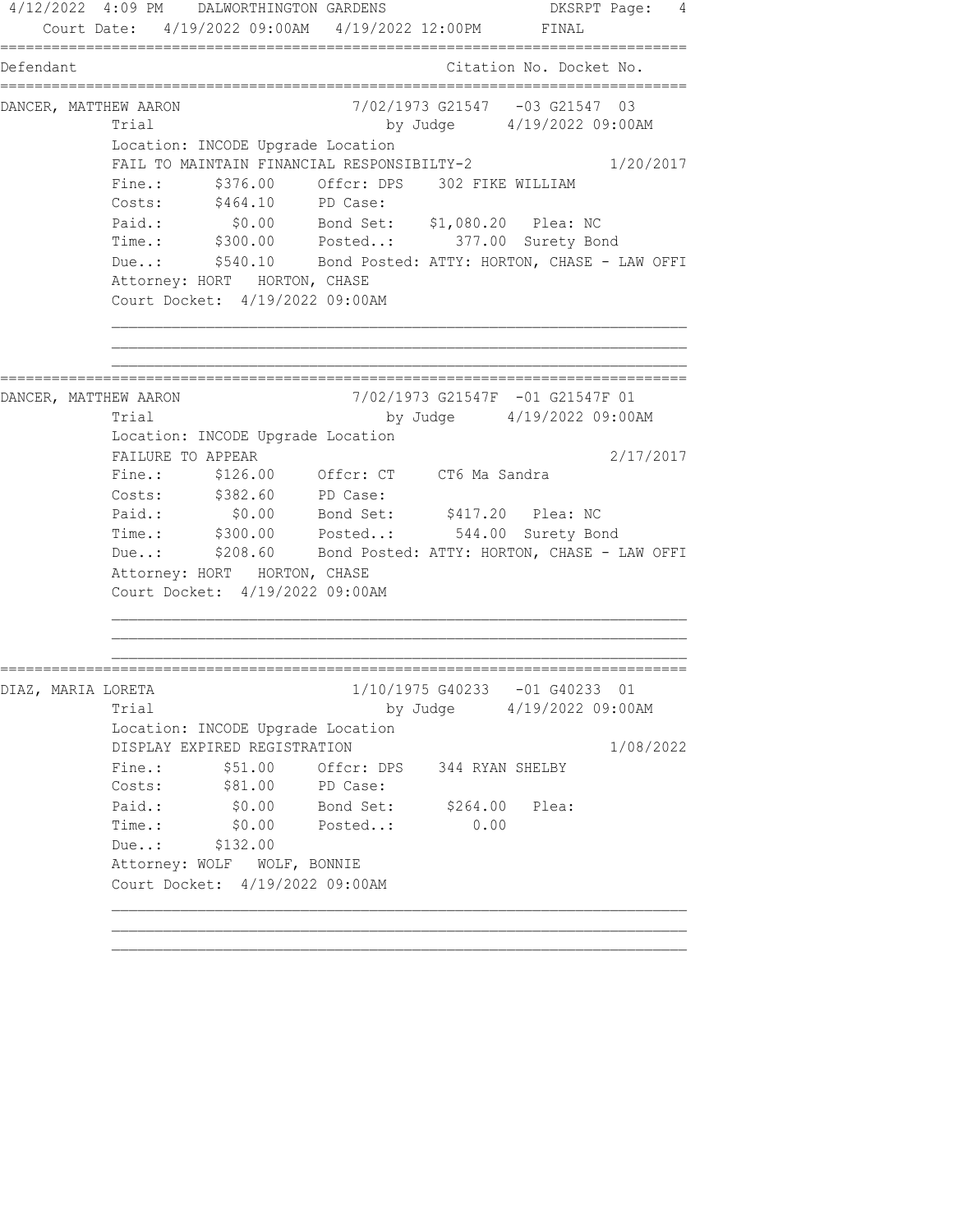4/12/2022 4:09 PM DALWORTHINGTON GARDENS DESRPT Page: 4 Court Date: 4/19/2022 09:00AM 4/19/2022 12:00PM FINAL ================================================================================ Defendant Citation No. Docket No. ================================================================================ DANCER, MATTHEW AARON 7/02/1973 G21547 -03 G21547 03 Trial by Judge 4/19/2022 09:00AM Location: INCODE Upgrade Location FAIL TO MAINTAIN FINANCIAL RESPONSIBILTY-2  $1/20/2017$ Fine.:  $$376.00$  Offcr: DPS 302 FIKE WILLIAM Costs: \$464.10 PD Case: Paid.: \$0.00 Bond Set: \$1,080.20 Plea: NC Time.: \$300.00 Posted..: 377.00 Surety Bond Due..: \$540.10 Bond Posted: ATTY: HORTON, CHASE - LAW OFFI Attorney: HORT HORTON, CHASE Court Docket: 4/19/2022 09:00AM ================================================================================ DANCER, MATTHEW AARON 7/02/1973 G21547F -01 G21547F 01 Trial by Judge 4/19/2022 09:00AM Location: INCODE Upgrade Location FAILURE TO APPEAR 2/17/2017 Fine.: \$126.00 Offcr: CT CT6 Ma Sandra Costs: \$382.60 PD Case: Paid.: \$0.00 Bond Set: \$417.20 Plea: NC Time.: \$300.00 Posted..: 544.00 Surety Bond Due..: \$208.60 Bond Posted: ATTY: HORTON, CHASE - LAW OFFI Attorney: HORT HORTON, CHASE Court Docket: 4/19/2022 09:00AM ================================================================================ DIAZ, MARIA LORETA 1/10/1975 G40233 -01 G40233 01 Trial by Judge 4/19/2022 09:00AM Location: INCODE Upgrade Location DISPLAY EXPIRED REGISTRATION 1/08/2022 Fine.:  $$51.00$  Offcr: DPS 344 RYAN SHELBY Costs: \$81.00 PD Case: Paid.: \$0.00 Bond Set: \$264.00 Plea: Time.: \$0.00 Posted..: 0.00 Due..: \$132.00 Attorney: WOLF WOLF, BONNIE Court Docket: 4/19/2022 09:00AM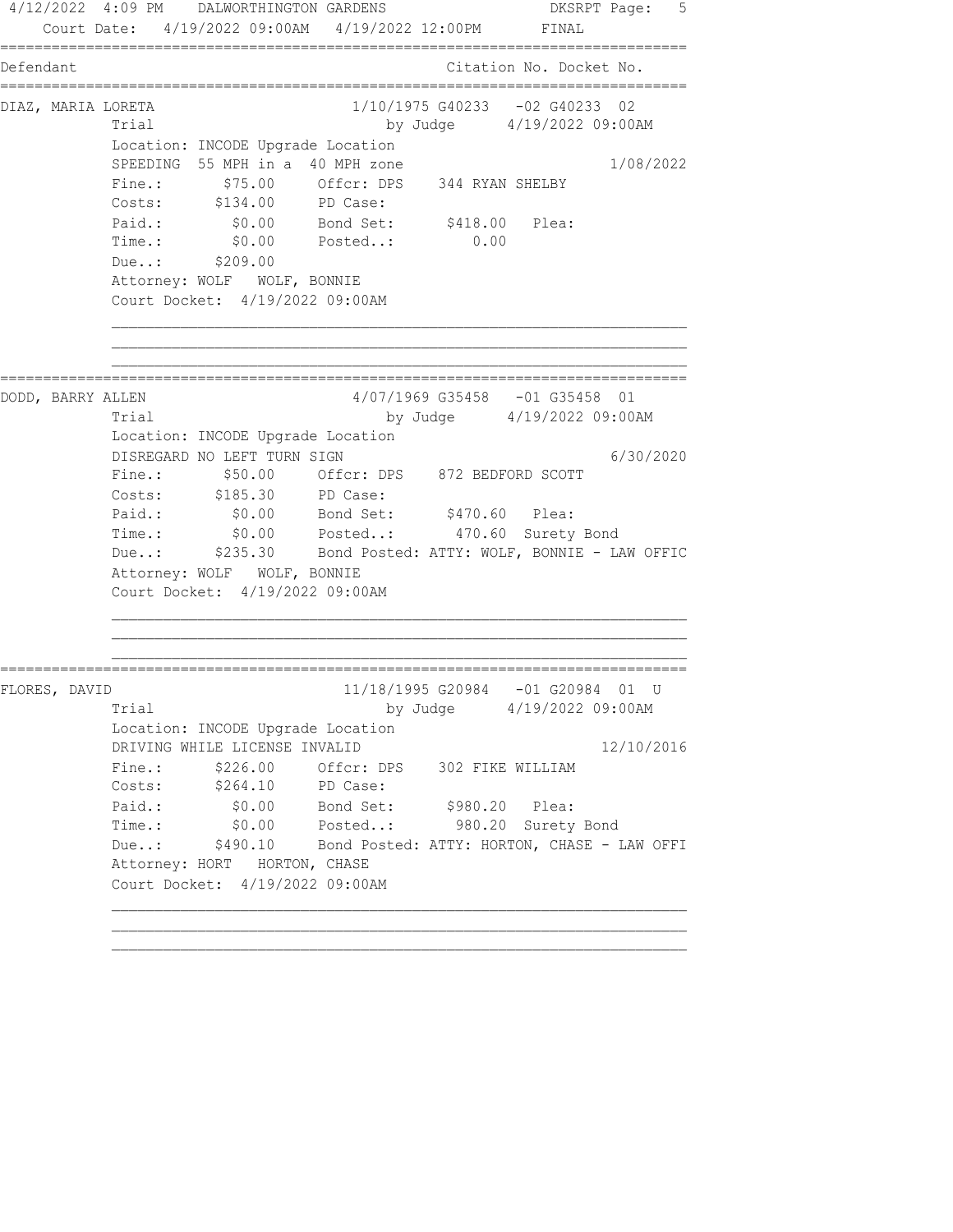4/12/2022 4:09 PM DALWORTHINGTON GARDENS DKSRPT Page: 5 Court Date: 4/19/2022 09:00AM 4/19/2022 12:00PM FINAL ================================================================================ Defendant Citation No. Docket No. ================================================================================ DIAZ, MARIA LORETA 1/10/1975 G40233 -02 G40233 02 Trial by Judge 4/19/2022 09:00AM Location: INCODE Upgrade Location SPEEDING 55 MPH in a 40 MPH zone 1/08/2022 Fine.:  $$75.00$  Offcr: DPS 344 RYAN SHELBY Costs: \$134.00 PD Case: Paid.: \$0.00 Bond Set: \$418.00 Plea: Time.: \$0.00 Posted..: 0.00 Due..: \$209.00 Attorney: WOLF WOLF, BONNIE Court Docket: 4/19/2022 09:00AM ================================================================================ DODD, BARRY ALLEN 4/07/1969 G35458 -01 G35458 01 Trial by Judge 4/19/2022 09:00AM Location: INCODE Upgrade Location DISREGARD NO LEFT TURN SIGN 6/30/2020 Fine.: \$50.00 Offcr: DPS 872 BEDFORD SCOTT Costs: \$185.30 PD Case: Paid.: \$0.00 Bond Set: \$470.60 Plea: Time.: \$0.00 Posted..: 470.60 Surety Bond Due..: \$235.30 Bond Posted: ATTY: WOLF, BONNIE - LAW OFFIC Attorney: WOLF WOLF, BONNIE Court Docket: 4/19/2022 09:00AM ================================================================================ FLORES, DAVID 11/18/1995 G20984 -01 G20984 01 U Trial by Judge  $4/19/2022$  09:00AM Location: INCODE Upgrade Location DRIVING WHILE LICENSE INVALID 12/10/2016 Fine.:  $$226.00$  Offcr: DPS 302 FIKE WILLIAM Costs: \$264.10 PD Case: Paid.: \$0.00 Bond Set: \$980.20 Plea: Time.: \$0.00 Posted..: 980.20 Surety Bond Due..: \$490.10 Bond Posted: ATTY: HORTON, CHASE - LAW OFFI Attorney: HORT HORTON, CHASE Court Docket: 4/19/2022 09:00AM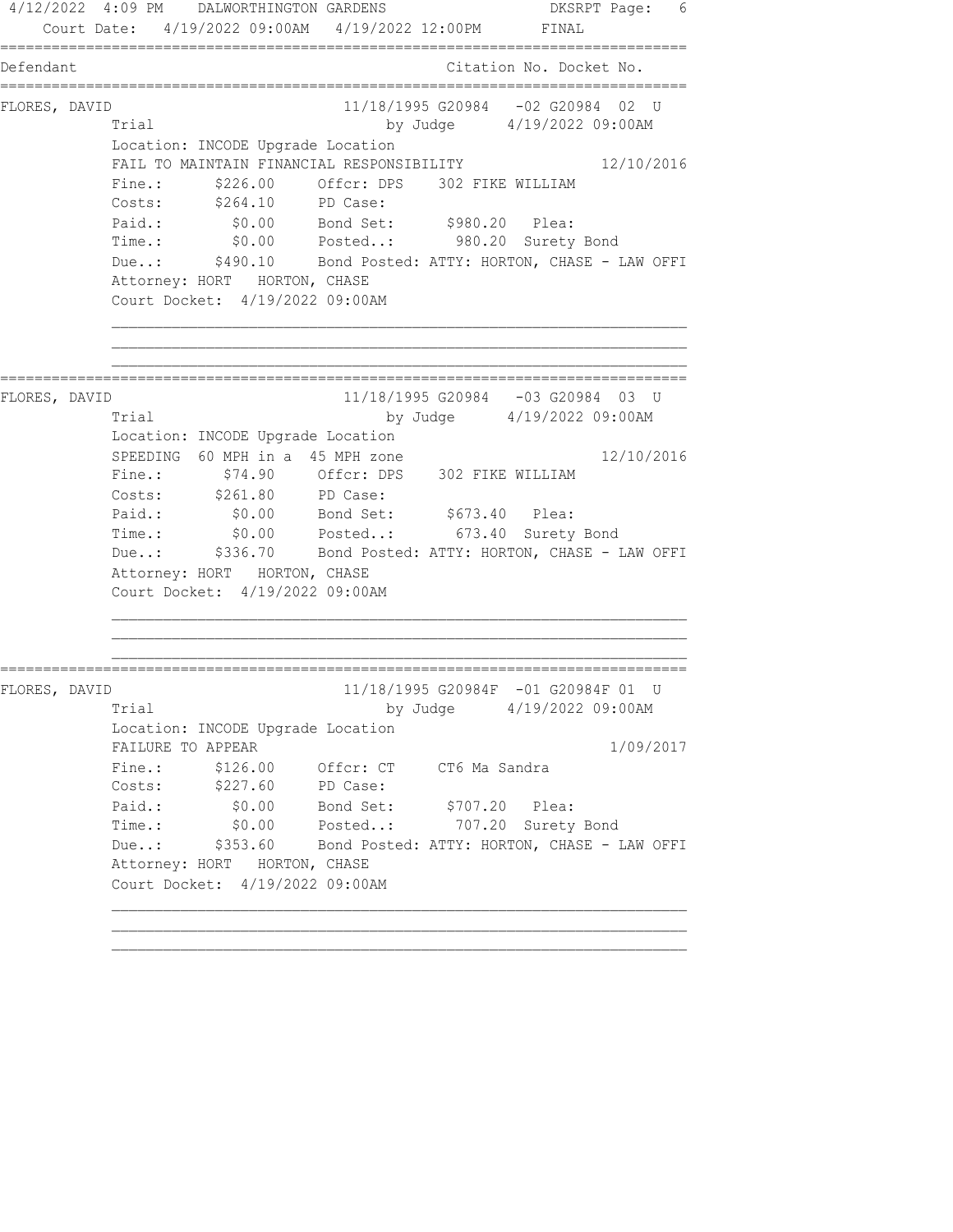4/12/2022 4:09 PM DALWORTHINGTON GARDENS DKSRPT Page: 6 Court Date: 4/19/2022 09:00AM 4/19/2022 12:00PM FINAL ================================================================================ Defendant Citation No. Docket No. ================================================================================ FLORES, DAVID 11/18/1995 G20984 -02 G20984 02 U Trial by Judge  $4/19/2022$  09:00AM Location: INCODE Upgrade Location FAIL TO MAINTAIN FINANCIAL RESPONSIBILITY 12/10/2016 Fine.:  $$226.00$  Offcr: DPS 302 FIKE WILLIAM Costs: \$264.10 PD Case: Paid.: \$0.00 Bond Set: \$980.20 Plea: Time.: \$0.00 Posted..: 980.20 Surety Bond Due..: \$490.10 Bond Posted: ATTY: HORTON, CHASE - LAW OFFI Attorney: HORT HORTON, CHASE Court Docket: 4/19/2022 09:00AM ================================================================================ FLORES, DAVID 11/18/1995 G20984 -03 G20984 03 U Trial by Judge 4/19/2022 09:00AM Location: INCODE Upgrade Location SPEEDING 60 MPH in a 45 MPH zone 12/10/2016 Fine.: \$74.90 Offcr: DPS 302 FIKE WILLIAM Costs: \$261.80 PD Case: Paid.:  $$0.00$  Bond Set:  $$673.40$  Plea: Time.: \$0.00 Posted..: 673.40 Surety Bond Due..: \$336.70 Bond Posted: ATTY: HORTON, CHASE - LAW OFFI Attorney: HORT HORTON, CHASE Court Docket: 4/19/2022 09:00AM ================================================================================ FLORES, DAVID 11/18/1995 G20984F -01 G20984F 01 U Trial by Judge  $4/19/2022$  09:00AM Location: INCODE Upgrade Location FAILURE TO APPEAR 1/09/2017 Fine.: \$126.00 Offcr: CT CT6 Ma Sandra Costs: \$227.60 PD Case: Paid.: \$0.00 Bond Set: \$707.20 Plea: Time.: \$0.00 Posted..: 707.20 Surety Bond Due..: \$353.60 Bond Posted: ATTY: HORTON, CHASE - LAW OFFI Attorney: HORT HORTON, CHASE Court Docket: 4/19/2022 09:00AM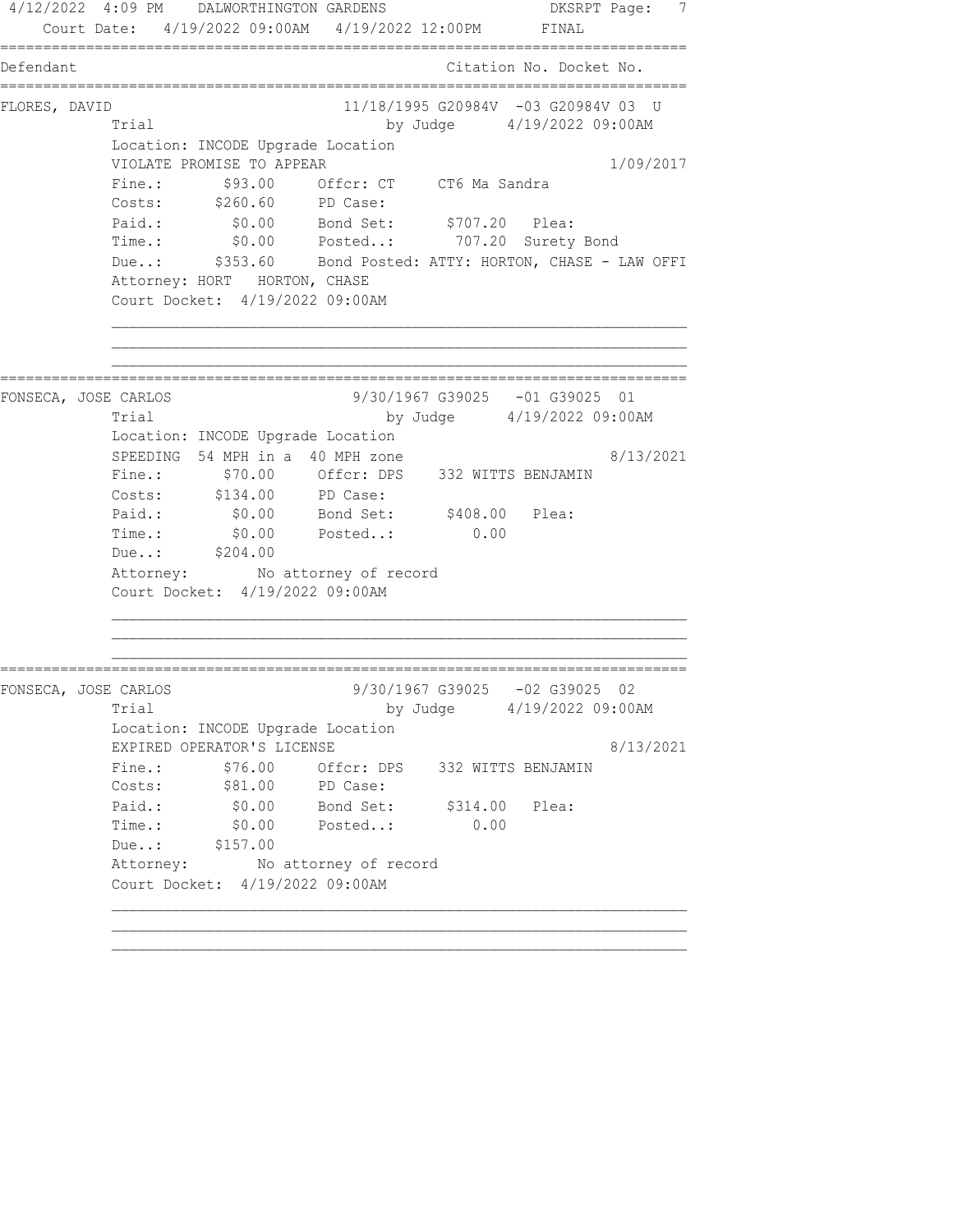4/12/2022 4:09 PM DALWORTHINGTON GARDENS DESRPT Page: 7 Court Date: 4/19/2022 09:00AM 4/19/2022 12:00PM FINAL ================================================================================ Defendant Citation No. Docket No. ================================================================================ FLORES, DAVID 11/18/1995 G20984V -03 G20984V 03 U Trial by Judge 4/19/2022 09:00AM Location: INCODE Upgrade Location VIOLATE PROMISE TO APPEAR 1/09/2017 Fine.:  $$93.00$  Offcr: CT CT6 Ma Sandra Costs: \$260.60 PD Case: Paid.: \$0.00 Bond Set: \$707.20 Plea: Time.: \$0.00 Posted..: 707.20 Surety Bond Due..: \$353.60 Bond Posted: ATTY: HORTON, CHASE - LAW OFFI Attorney: HORT HORTON, CHASE Court Docket: 4/19/2022 09:00AM ================================================================================ FONSECA, JOSE CARLOS 9/30/1967 G39025 -01 G39025 01 Trial by Judge 4/19/2022 09:00AM Location: INCODE Upgrade Location SPEEDING 54 MPH in a 40 MPH zone  $8/13/2021$  Fine.: \$70.00 Offcr: DPS 332 WITTS BENJAMIN Costs: \$134.00 PD Case: Paid.: \$0.00 Bond Set: \$408.00 Plea: Time.:  $$0.00$  Posted..: 0.00 Due..: \$204.00 Attorney: No attorney of record Court Docket: 4/19/2022 09:00AM ================================================================================ FONSECA, JOSE CARLOS 9/30/1967 G39025 -02 G39025 02 Trial by Judge  $4/19/2022$  09:00AM Location: INCODE Upgrade Location EXPIRED OPERATOR'S LICENSE 8/13/2021 Fine.: \$76.00 Offcr: DPS 332 WITTS BENJAMIN Costs: \$81.00 PD Case: Paid.:  $\$0.00$  Bond Set:  $\$314.00$  Plea: Time.: \$0.00 Posted..: 0.00 Due..: \$157.00 Attorney: No attorney of record Court Docket: 4/19/2022 09:00AM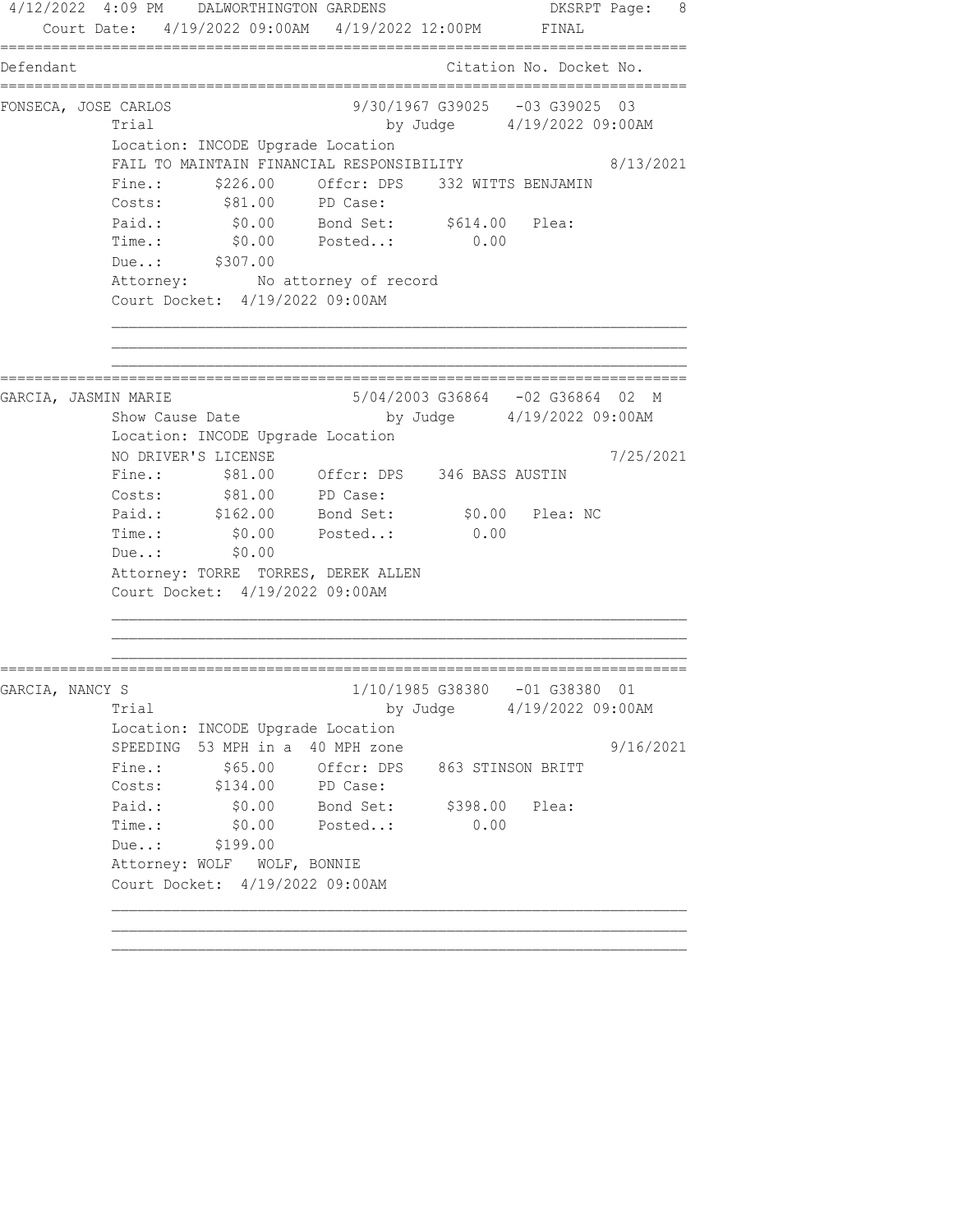4/12/2022 4:09 PM DALWORTHINGTON GARDENS DKSRPT Page: 8 Court Date: 4/19/2022 09:00AM 4/19/2022 12:00PM FINAL ================================================================================ Defendant Citation No. Docket No. ================================================================================ FONSECA, JOSE CARLOS 9/30/1967 G39025 -03 G39025 03 Trial by Judge  $4/19/2022$  09:00AM Location: INCODE Upgrade Location FAIL TO MAINTAIN FINANCIAL RESPONSIBILITY 8/13/2021 Fine.: \$226.00 Offcr: DPS 332 WITTS BENJAMIN Costs: \$81.00 PD Case: Paid.:  $$0.00$  Bond Set:  $$614.00$  Plea: Time.: \$0.00 Posted..: 0.00 Due..: \$307.00 Attorney: No attorney of record Court Docket: 4/19/2022 09:00AM ================================================================================ GARCIA, JASMIN MARIE 5/04/2003 G36864 -02 G36864 02 M<br>Show Cause Date by Judge 4/19/2022 09:00AM by Judge 4/19/2022 09:00AM Location: INCODE Upgrade Location NO DRIVER'S LICENSE 7/25/2021 Fine.: \$81.00 Offcr: DPS 346 BASS AUSTIN Costs:  $$81.00$  PD Case: Paid.: \$162.00 Bond Set: \$0.00 Plea: NC Time.:  $$0.00$  Posted..: 0.00 Due..: \$0.00 Attorney: TORRE TORRES, DEREK ALLEN Court Docket: 4/19/2022 09:00AM ================================================================================ GARCIA, NANCY S 1/10/1985 G38380 -01 G38380 01 Trial by Judge 4/19/2022 09:00AM Location: INCODE Upgrade Location SPEEDING 53 MPH in a 40 MPH zone 9/16/2021 Fine.:  $$65.00$  Offcr: DPS 863 STINSON BRITT Costs: \$134.00 PD Case: Paid.: \$0.00 Bond Set: \$398.00 Plea: Time.: \$0.00 Posted..: 0.00 Due..: \$199.00 Attorney: WOLF WOLF, BONNIE Court Docket: 4/19/2022 09:00AM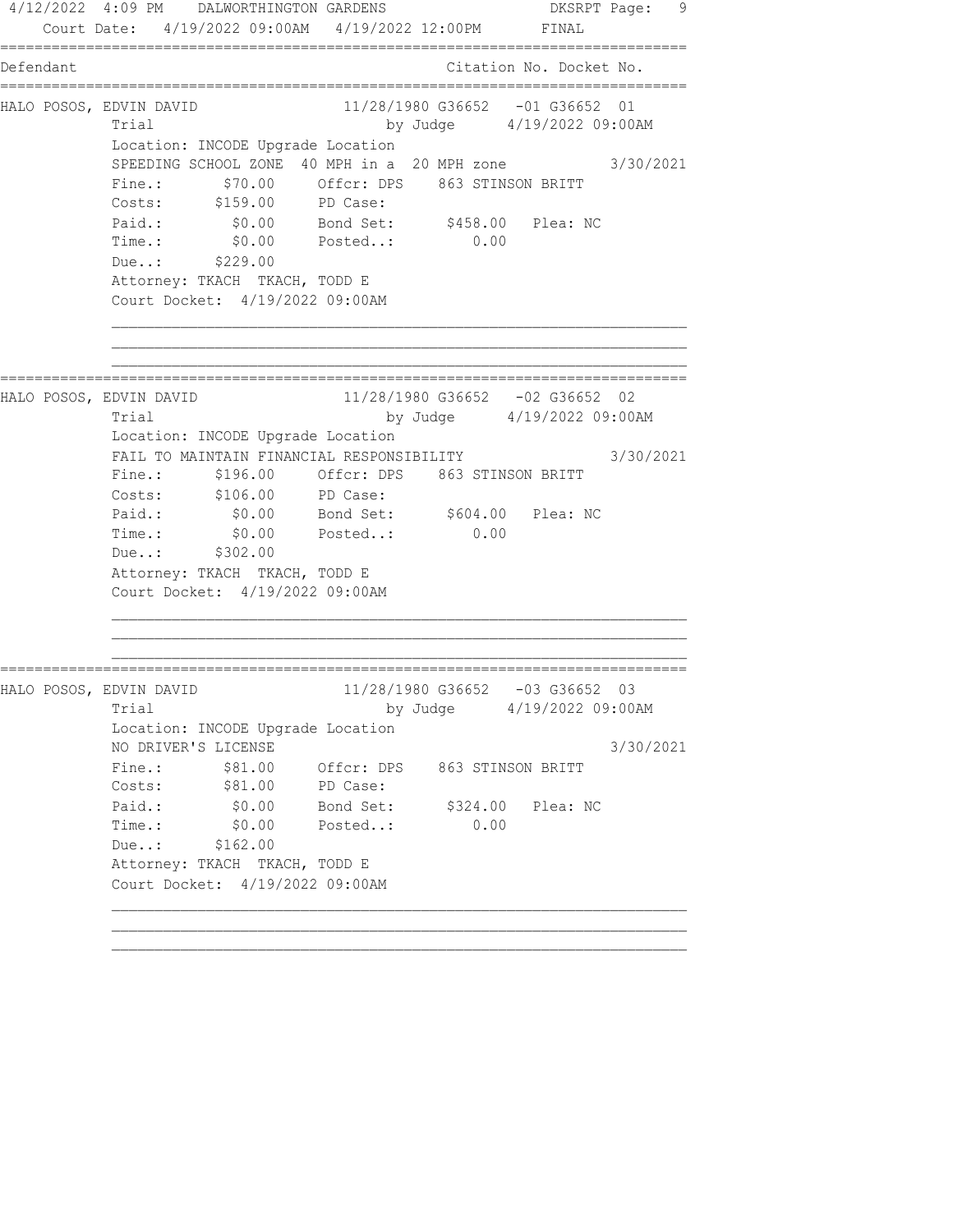4/12/2022 4:09 PM DALWORTHINGTON GARDENS CONSIDERED BASERPT Page: 9 Court Date: 4/19/2022 09:00AM 4/19/2022 12:00PM FINAL ================================================================================ Defendant Citation No. Docket No. ================================================================================ HALO POSOS, EDVIN DAVID 11/28/1980 G36652 -01 G36652 01 Trial by Judge  $4/19/2022$  09:00AM Location: INCODE Upgrade Location SPEEDING SCHOOL ZONE 40 MPH in a 20 MPH zone 3/30/2021 Fine.:  $$70.00$  Offcr: DPS 863 STINSON BRITT Costs: \$159.00 PD Case: Paid.: \$0.00 Bond Set: \$458.00 Plea: NC Time.: \$0.00 Posted..: 0.00 Due..: \$229.00 Attorney: TKACH TKACH, TODD E Court Docket: 4/19/2022 09:00AM ================================================================================ HALO POSOS, EDVIN DAVID 11/28/1980 G36652 -02 G36652 02 Trial by Judge 4/19/2022 09:00AM Location: INCODE Upgrade Location FAIL TO MAINTAIN FINANCIAL RESPONSIBILITY 3/30/2021 Fine.: \$196.00 Offcr: DPS 863 STINSON BRITT Costs: \$106.00 PD Case: Paid.: \$0.00 Bond Set: \$604.00 Plea: NC Time.:  $$0.00$  Posted..: 0.00 Due..: \$302.00 Attorney: TKACH TKACH, TODD E Court Docket: 4/19/2022 09:00AM ================================================================================ HALO POSOS, EDVIN DAVID 11/28/1980 G36652 -03 G36652 03 Trial by Judge  $4/19/2022$  09:00AM Location: INCODE Upgrade Location NO DRIVER'S LICENSE 3/30/2021 Fine.:  $$81.00$  Offcr: DPS 863 STINSON BRITT Costs:  $$81.00$  PD Case: Paid.: \$0.00 Bond Set: \$324.00 Plea: NC Time.: \$0.00 Posted..: 0.00 Due..: \$162.00 Attorney: TKACH TKACH, TODD E Court Docket: 4/19/2022 09:00AM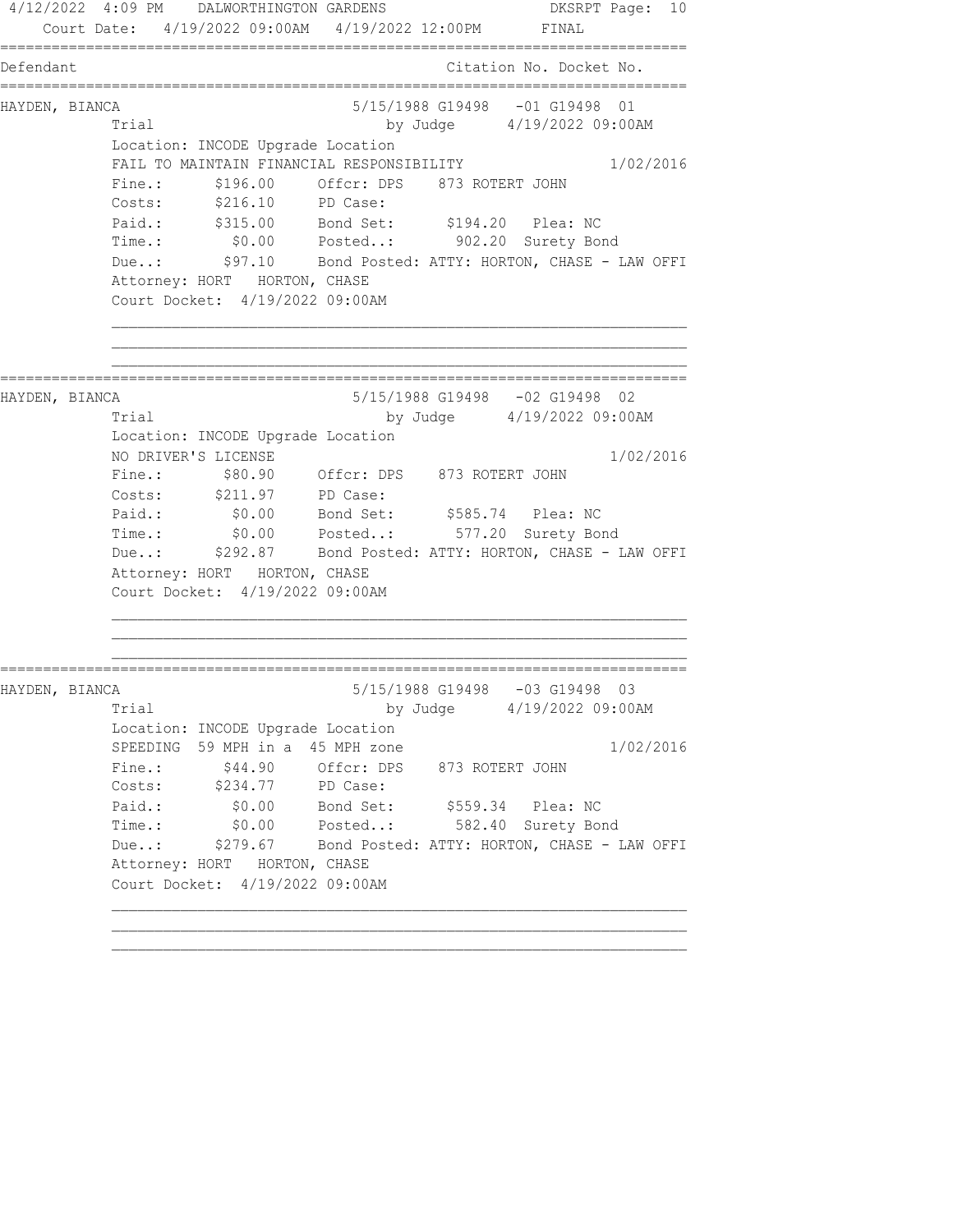4/12/2022 4:09 PM DALWORTHINGTON GARDENS DKSRPT Page: 10 Court Date: 4/19/2022 09:00AM 4/19/2022 12:00PM FINAL ================================================================================ Defendant Citation No. Docket No. ================================================================================ HAYDEN, BIANCA 5/15/1988 G19498 -01 G19498 01 Trial by Judge 4/19/2022 09:00AM Location: INCODE Upgrade Location FAIL TO MAINTAIN FINANCIAL RESPONSIBILITY 1/02/2016 Fine.: \$196.00 Offcr: DPS 873 ROTERT JOHN Costs: \$216.10 PD Case: Paid.: \$315.00 Bond Set: \$194.20 Plea: NC Time.: \$0.00 Posted..: 902.20 Surety Bond Due..: \$97.10 Bond Posted: ATTY: HORTON, CHASE - LAW OFFI Attorney: HORT HORTON, CHASE Court Docket: 4/19/2022 09:00AM ================================================================================ HAYDEN, BIANCA 5/15/1988 G19498 -02 G19498 02 Trial by Judge 4/19/2022 09:00AM Location: INCODE Upgrade Location NO DRIVER'S LICENSE 1/02/2016 Fine.: \$80.90 Offcr: DPS 873 ROTERT JOHN Costs: \$211.97 PD Case: Paid.: \$0.00 Bond Set: \$585.74 Plea: NC Time.: \$0.00 Posted..: 577.20 Surety Bond Due..: \$292.87 Bond Posted: ATTY: HORTON, CHASE - LAW OFFI Attorney: HORT HORTON, CHASE Court Docket: 4/19/2022 09:00AM ================================================================================ HAYDEN, BIANCA 5/15/1988 G19498 -03 G19498 03 Trial by Judge 4/19/2022 09:00AM Location: INCODE Upgrade Location SPEEDING 59 MPH in a 45 MPH zone 1/02/2016 Fine.:  $$44.90$  Offcr: DPS 873 ROTERT JOHN Costs: \$234.77 PD Case: Paid.: \$0.00 Bond Set: \$559.34 Plea: NC Time.: \$0.00 Posted..: 582.40 Surety Bond Due..: \$279.67 Bond Posted: ATTY: HORTON, CHASE - LAW OFFI Attorney: HORT HORTON, CHASE Court Docket: 4/19/2022 09:00AM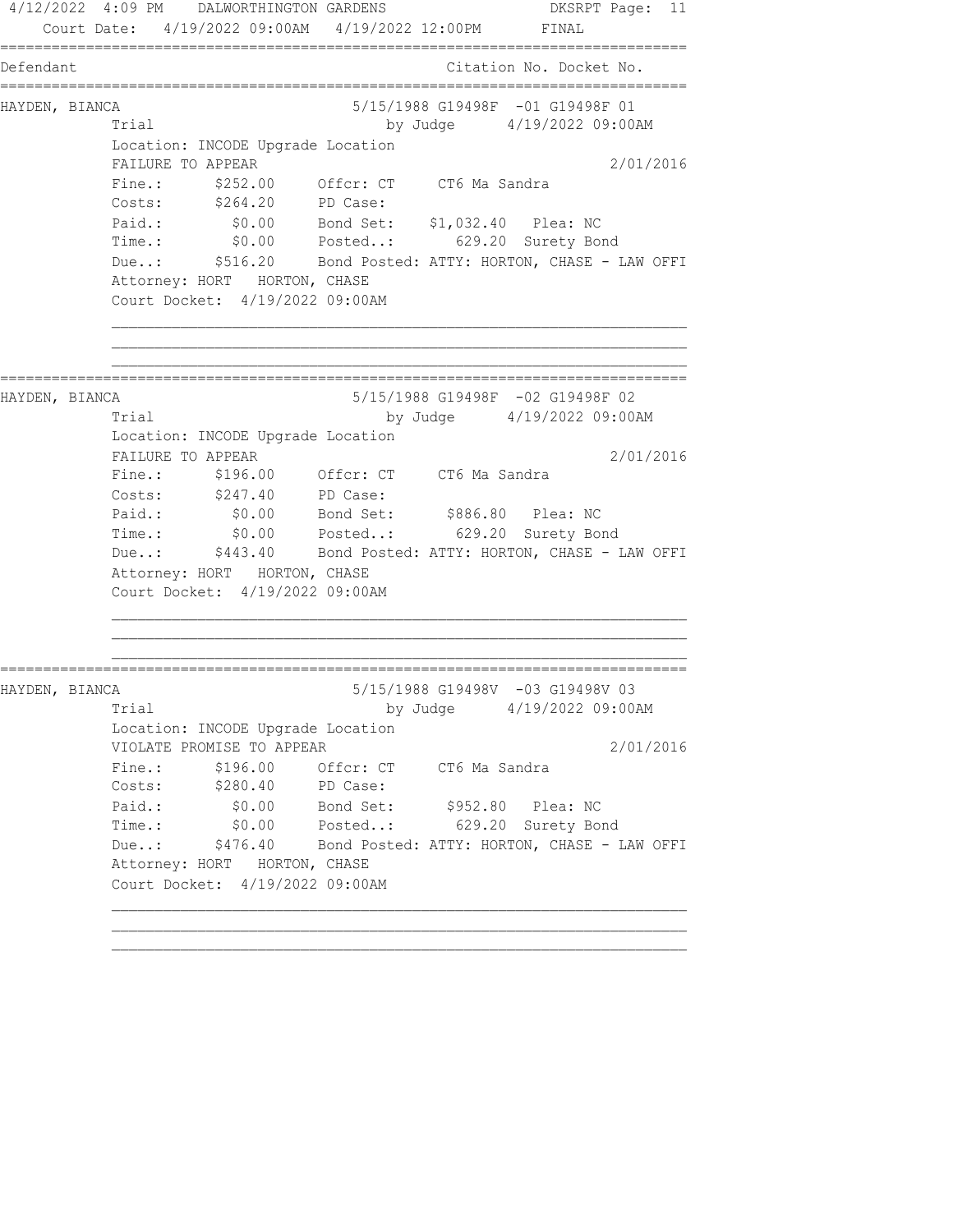4/12/2022 4:09 PM DALWORTHINGTON GARDENS DKSRPT Page: 11 Court Date: 4/19/2022 09:00AM 4/19/2022 12:00PM FINAL ================================================================================ Defendant Citation No. Docket No. ================================================================================ HAYDEN, BIANCA 5/15/1988 G19498F -01 G19498F 01 Trial by Judge 4/19/2022 09:00AM Location: INCODE Upgrade Location FAILURE TO APPEAR 2/01/2016 Fine.: \$252.00 Offcr: CT CT6 Ma Sandra Costs: \$264.20 PD Case: Paid.: \$0.00 Bond Set: \$1,032.40 Plea: NC Time.: \$0.00 Posted..: 629.20 Surety Bond Due..: \$516.20 Bond Posted: ATTY: HORTON, CHASE - LAW OFFI Attorney: HORT HORTON, CHASE Court Docket: 4/19/2022 09:00AM ================================================================================ HAYDEN, BIANCA 5/15/1988 G19498F -02 G19498F 02 Trial by Judge 4/19/2022 09:00AM Location: INCODE Upgrade Location FAILURE TO APPEAR 2/01/2016 Fine.: \$196.00 Offcr: CT CT6 Ma Sandra Costs: \$247.40 PD Case: Paid.: \$0.00 Bond Set: \$886.80 Plea: NC Time.: \$0.00 Posted..: 629.20 Surety Bond Due..: \$443.40 Bond Posted: ATTY: HORTON, CHASE - LAW OFFI Attorney: HORT HORTON, CHASE Court Docket: 4/19/2022 09:00AM ================================================================================ HAYDEN, BIANCA 5/15/1988 G19498V -03 G19498V 03 Trial by Judge 4/19/2022 09:00AM Location: INCODE Upgrade Location VIOLATE PROMISE TO APPEAR 2/01/2016 Fine.:  $$196.00$  Offcr: CT CT6 Ma Sandra Costs: \$280.40 PD Case: Paid.: \$0.00 Bond Set: \$952.80 Plea: NC Time.: \$0.00 Posted..: 629.20 Surety Bond Due..: \$476.40 Bond Posted: ATTY: HORTON, CHASE - LAW OFFI Attorney: HORT HORTON, CHASE Court Docket: 4/19/2022 09:00AM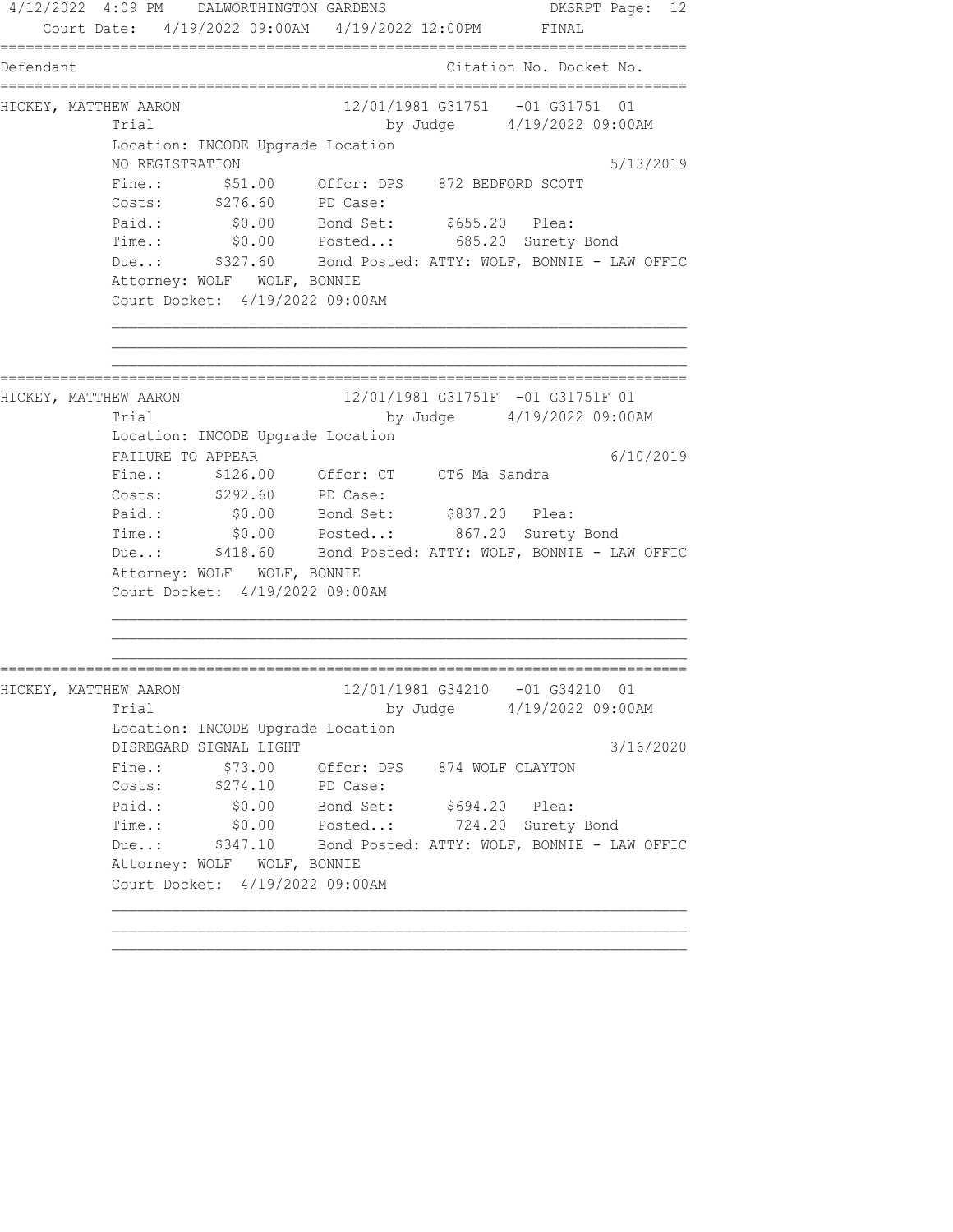4/12/2022 4:09 PM DALWORTHINGTON GARDENS DKSRPT Page: 12 Court Date: 4/19/2022 09:00AM 4/19/2022 12:00PM FINAL ================================================================================ Defendant Citation No. Docket No. ================================================================================ HICKEY, MATTHEW AARON 12/01/1981 G31751 -01 G31751 01 Trial by Judge 4/19/2022 09:00AM Location: INCODE Upgrade Location NO REGISTRATION 5/13/2019 Fine.: \$51.00 Offcr: DPS 872 BEDFORD SCOTT Costs: \$276.60 PD Case: Paid.: \$0.00 Bond Set: \$655.20 Plea: Time.: \$0.00 Posted..: 685.20 Surety Bond Due..: \$327.60 Bond Posted: ATTY: WOLF, BONNIE - LAW OFFIC Attorney: WOLF WOLF, BONNIE Court Docket: 4/19/2022 09:00AM ================================================================================ HICKEY, MATTHEW AARON 12/01/1981 G31751F -01 G31751F 01 Trial by Judge 4/19/2022 09:00AM Location: INCODE Upgrade Location FAILURE TO APPEAR 6/10/2019 Fine.: \$126.00 Offcr: CT CT6 Ma Sandra Costs: \$292.60 PD Case: Paid.: \$0.00 Bond Set: \$837.20 Plea: Time.: \$0.00 Posted..: 867.20 Surety Bond Due..: \$418.60 Bond Posted: ATTY: WOLF, BONNIE - LAW OFFIC Attorney: WOLF WOLF, BONNIE Court Docket: 4/19/2022 09:00AM ================================================================================ HICKEY, MATTHEW AARON 12/01/1981 G34210 -01 G34210 01 Trial by Judge 4/19/2022 09:00AM Location: INCODE Upgrade Location DISREGARD SIGNAL LIGHT 3/16/2020 Fine.:  $$73.00$  Offcr: DPS 874 WOLF CLAYTON Costs: \$274.10 PD Case: Paid.:  $$0.00$  Bond Set:  $$694.20$  Plea: Time.: \$0.00 Posted..: 724.20 Surety Bond Due..: \$347.10 Bond Posted: ATTY: WOLF, BONNIE - LAW OFFIC Attorney: WOLF WOLF, BONNIE Court Docket: 4/19/2022 09:00AM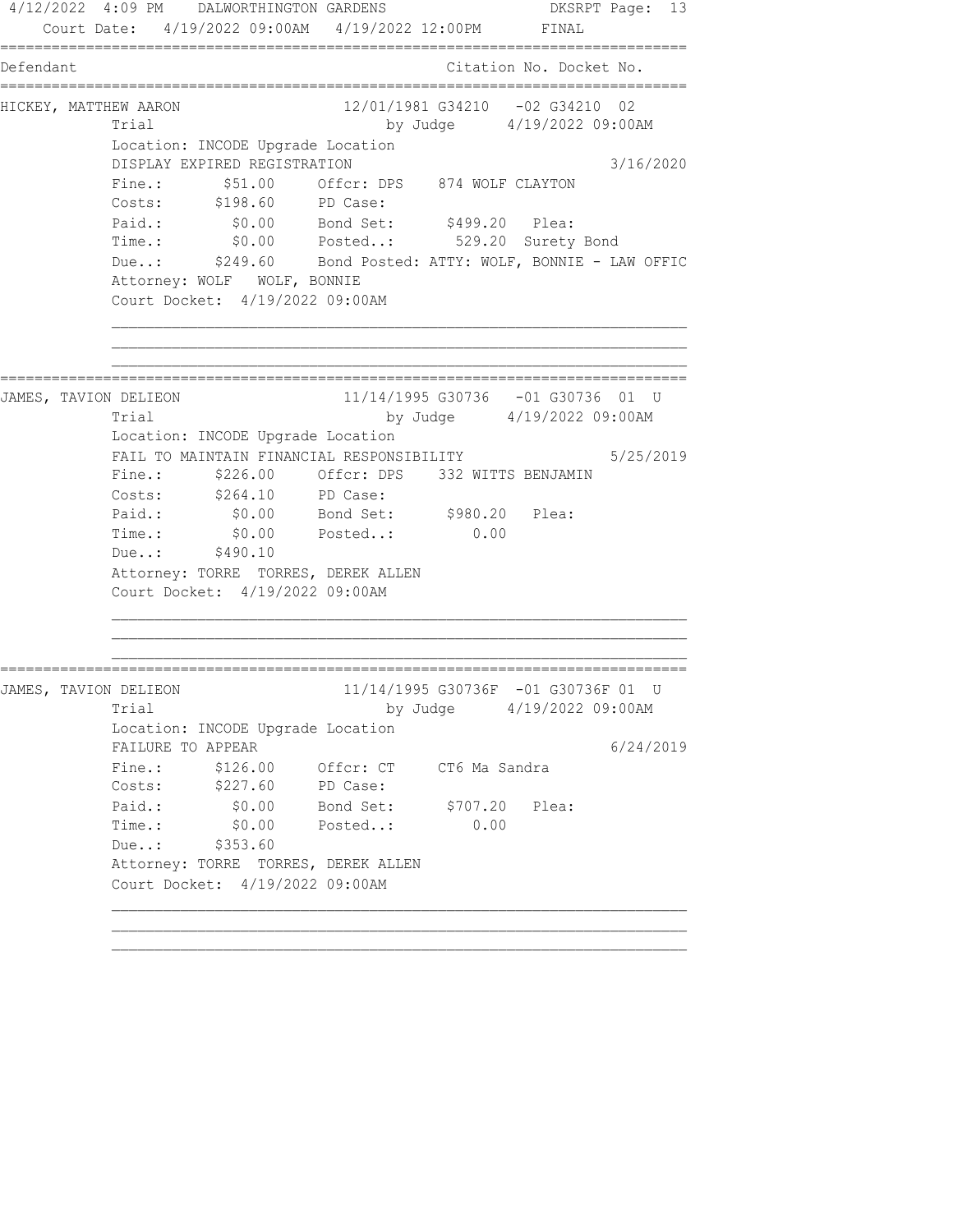4/12/2022 4:09 PM DALWORTHINGTON GARDENS DKSRPT Page: 13 Court Date: 4/19/2022 09:00AM 4/19/2022 12:00PM FINAL ================================================================================ Defendant Citation No. Docket No. ================================================================================ HICKEY, MATTHEW AARON 12/01/1981 G34210 -02 G34210 02 Trial by Judge 4/19/2022 09:00AM Location: INCODE Upgrade Location DISPLAY EXPIRED REGISTRATION 3/16/2020 Fine.:  $$51.00$  Offcr: DPS 874 WOLF CLAYTON Costs: \$198.60 PD Case: Paid.: \$0.00 Bond Set: \$499.20 Plea: Time.: \$0.00 Posted..: 529.20 Surety Bond Due..: \$249.60 Bond Posted: ATTY: WOLF, BONNIE - LAW OFFIC Attorney: WOLF WOLF, BONNIE Court Docket: 4/19/2022 09:00AM ================================================================================ JAMES, TAVION DELIEON 11/14/1995 G30736 -01 G30736 01 U Trial by Judge 4/19/2022 09:00AM Location: INCODE Upgrade Location FAIL TO MAINTAIN FINANCIAL RESPONSIBILITY 5/25/2019 Fine.: \$226.00 Offcr: DPS 332 WITTS BENJAMIN Costs: \$264.10 PD Case: Paid.: \$0.00 Bond Set: \$980.20 Plea: Time.:  $$0.00$  Posted..: 0.00 Due..: \$490.10 Attorney: TORRE TORRES, DEREK ALLEN Court Docket: 4/19/2022 09:00AM ================================================================================ JAMES, TAVION DELIEON 11/14/1995 G30736F -01 G30736F 01 U Trial by Judge  $4/19/2022$  09:00AM Location: INCODE Upgrade Location FAILURE TO APPEAR 6/24/2019 Fine.: \$126.00 Offcr: CT CT6 Ma Sandra Costs: \$227.60 PD Case: Paid.: \$0.00 Bond Set: \$707.20 Plea: Time.: \$0.00 Posted..: 0.00 Due..: \$353.60 Attorney: TORRE TORRES, DEREK ALLEN Court Docket: 4/19/2022 09:00AM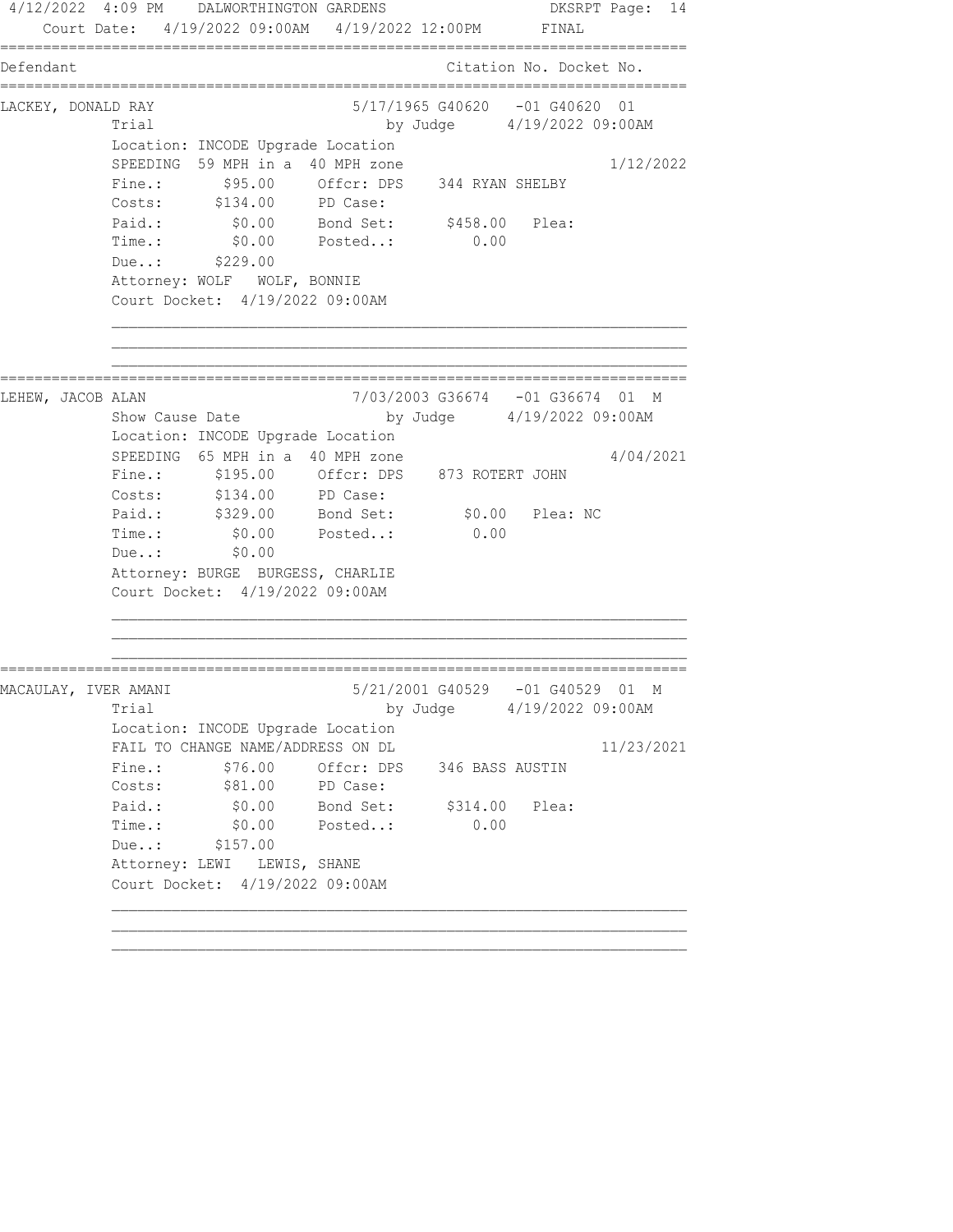4/12/2022 4:09 PM DALWORTHINGTON GARDENS DKSRPT Page: 14 Court Date: 4/19/2022 09:00AM 4/19/2022 12:00PM FINAL ================================================================================ Defendant Citation No. Docket No. ================================================================================ LACKEY, DONALD RAY 5/17/1965 G40620 -01 G40620 01 Trial by Judge 4/19/2022 09:00AM Location: INCODE Upgrade Location SPEEDING 59 MPH in a 40 MPH zone 1/12/2022 Fine.: \$95.00 Offcr: DPS 344 RYAN SHELBY Costs: \$134.00 PD Case: Paid.: \$0.00 Bond Set: \$458.00 Plea: Time.: \$0.00 Posted..: 0.00 Due..: \$229.00 Attorney: WOLF WOLF, BONNIE Court Docket: 4/19/2022 09:00AM ================================================================================ LEHEW, JACOB ALAN Show Cause Date 1999 1990 100 100 100 2010 100 2010 100 2010 100 2010 2010 2010 2010 2010 20<br>Dy Judge 2/19/2022 09:00AM by Judge 4/19/2022 09:00AM Location: INCODE Upgrade Location SPEEDING  $65$  MPH in a 40 MPH zone  $4/04/2021$  Fine.: \$195.00 Offcr: DPS 873 ROTERT JOHN Costs: \$134.00 PD Case: Paid.: \$329.00 Bond Set: \$0.00 Plea: NC Time.:  $$0.00$  Posted..: 0.00 Due..: \$0.00 Attorney: BURGE BURGESS, CHARLIE Court Docket: 4/19/2022 09:00AM ================================================================================ MACAULAY, IVER AMANI 5/21/2001 G40529 -01 G40529 01 M Trial by Judge  $4/19/2022$  09:00AM Location: INCODE Upgrade Location FAIL TO CHANGE NAME/ADDRESS ON DL 11/23/2021 Fine.:  $$76.00$  Offcr: DPS 346 BASS AUSTIN Costs:  $$81.00$  PD Case: Paid.:  $\$0.00$  Bond Set:  $\$314.00$  Plea: Time.: \$0.00 Posted..: 0.00 Due..: \$157.00 Attorney: LEWI LEWIS, SHANE Court Docket: 4/19/2022 09:00AM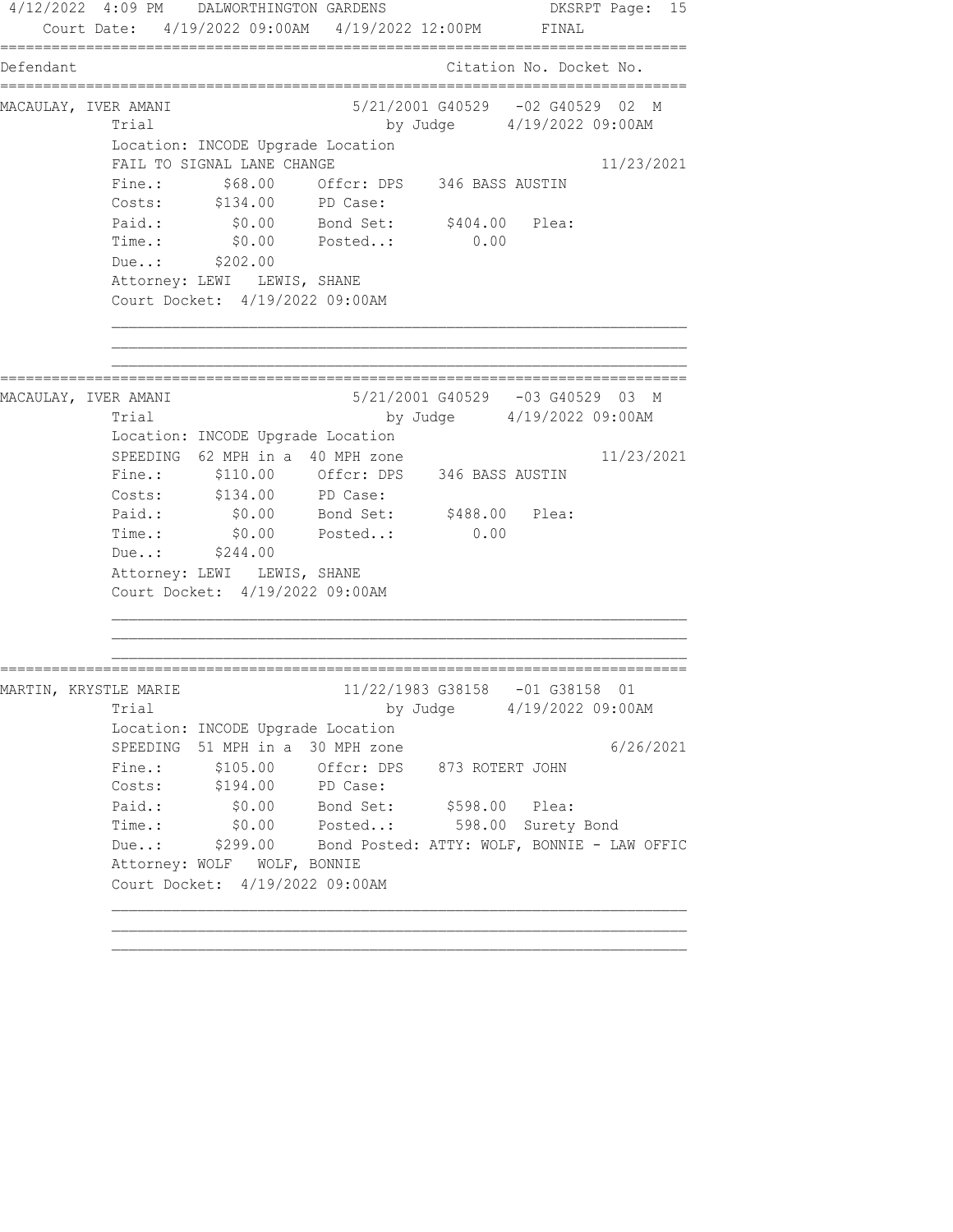4/12/2022 4:09 PM DALWORTHINGTON GARDENS DKSRPT Page: 15 Court Date: 4/19/2022 09:00AM 4/19/2022 12:00PM FINAL ================================================================================ Defendant Citation No. Docket No. ================================================================================ MACAULAY, IVER AMANI 5/21/2001 G40529 -02 G40529 02 M Trial by Judge 4/19/2022 09:00AM Location: INCODE Upgrade Location FAIL TO SIGNAL LANE CHANGE 11/23/2021 Fine.:  $$68.00$  Offcr: DPS 346 BASS AUSTIN Costs: \$134.00 PD Case: Paid.: \$0.00 Bond Set: \$404.00 Plea: Time.: \$0.00 Posted..: 0.00 Due..: \$202.00 Attorney: LEWI LEWIS, SHANE Court Docket: 4/19/2022 09:00AM ================================================================================ MACAULAY, IVER AMANI 5/21/2001 G40529 -03 G40529 03 M Trial by Judge 4/19/2022 09:00AM Location: INCODE Upgrade Location SPEEDING  $62$  MPH in a 40 MPH zone  $11/23/2021$  Fine.: \$110.00 Offcr: DPS 346 BASS AUSTIN Costs: \$134.00 PD Case: Paid.: \$0.00 Bond Set: \$488.00 Plea: Time.:  $$0.00$  Posted..: 0.00 Due..: \$244.00 Attorney: LEWI LEWIS, SHANE Court Docket: 4/19/2022 09:00AM ================================================================================ MARTIN, KRYSTLE MARIE 2000 11/22/1983 G38158 -01 G38158 01 Trial by Judge 4/19/2022 09:00AM Location: INCODE Upgrade Location SPEEDING 51 MPH in a 30 MPH zone  $6/26/2021$ Fine.: \$105.00 Offcr: DPS 873 ROTERT JOHN Costs: \$194.00 PD Case: Paid.: \$0.00 Bond Set: \$598.00 Plea: Time.: \$0.00 Posted..: 598.00 Surety Bond Due..: \$299.00 Bond Posted: ATTY: WOLF, BONNIE - LAW OFFIC Attorney: WOLF WOLF, BONNIE Court Docket: 4/19/2022 09:00AM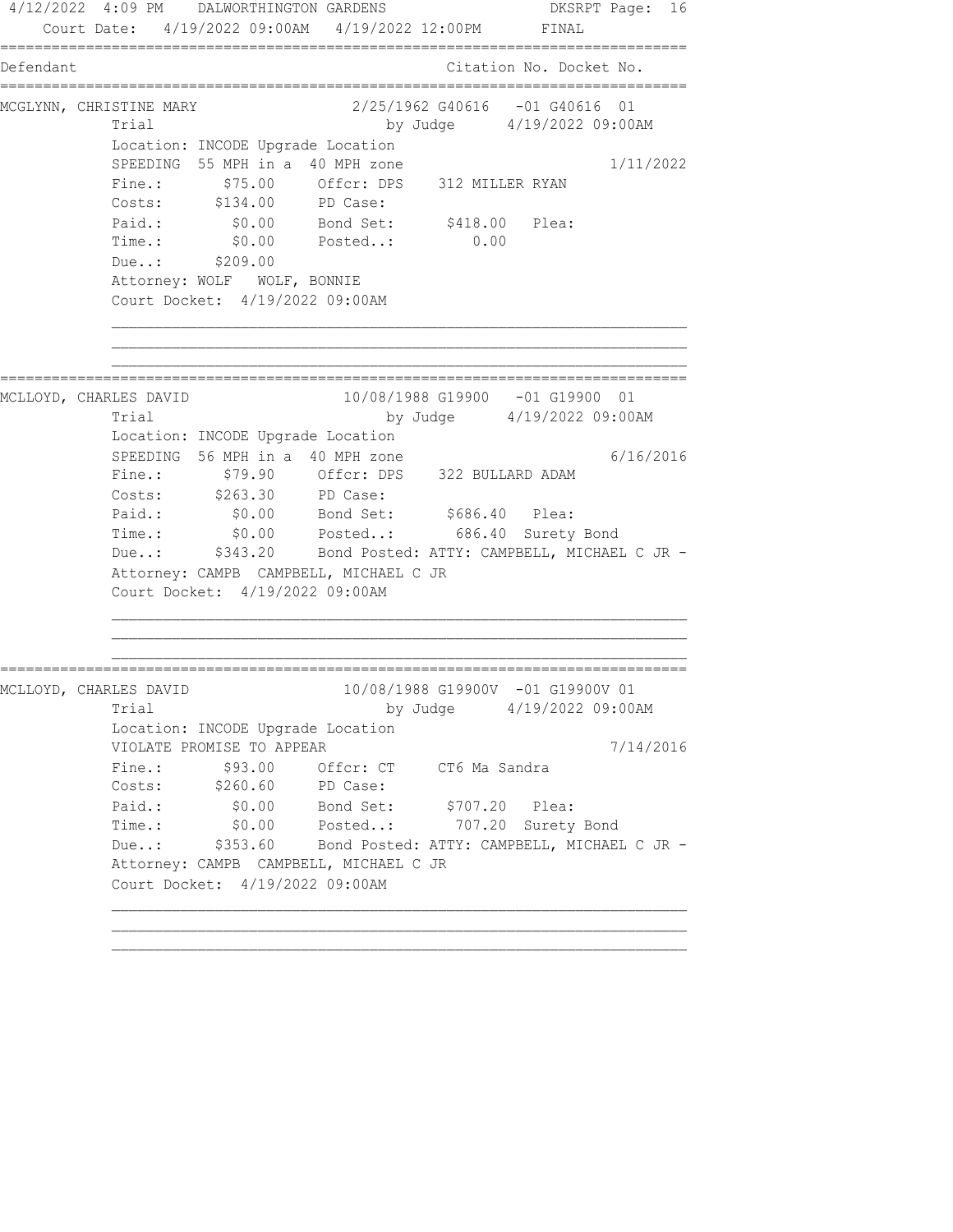4/12/2022 4:09 PM DALWORTHINGTON GARDENS DKSRPT Page: 16 Court Date: 4/19/2022 09:00AM 4/19/2022 12:00PM FINAL ================================================================================ Defendant Citation No. Docket No. ================================================================================ MCGLYNN, CHRISTINE MARY 2/25/1962 G40616 -01 G40616 01 Trial by Judge 4/19/2022 09:00AM Location: INCODE Upgrade Location SPEEDING 55 MPH in a 40 MPH zone 1/11/2022 Fine.:  $$75.00$  Offcr: DPS 312 MILLER RYAN Costs: \$134.00 PD Case: Paid.: \$0.00 Bond Set: \$418.00 Plea: Time.: \$0.00 Posted..: 0.00 Due..: \$209.00 Attorney: WOLF WOLF, BONNIE Court Docket: 4/19/2022 09:00AM ================================================================================ MCLLOYD, CHARLES DAVID 10/08/1988 G19900 -01 G19900 01 Trial by Judge 4/19/2022 09:00AM Location: INCODE Upgrade Location SPEEDING 56 MPH in a 40 MPH zone  $6/16/2016$  Fine.: \$79.90 Offcr: DPS 322 BULLARD ADAM Costs: \$263.30 PD Case: Paid.: \$0.00 Bond Set: \$686.40 Plea: Time.: \$0.00 Posted..: 686.40 Surety Bond Due..: \$343.20 Bond Posted: ATTY: CAMPBELL, MICHAEL C JR - Attorney: CAMPB CAMPBELL, MICHAEL C JR Court Docket: 4/19/2022 09:00AM ================================================================================ MCLLOYD, CHARLES DAVID 10/08/1988 G19900V -01 G19900V 01 Trial by Judge 4/19/2022 09:00AM Location: INCODE Upgrade Location VIOLATE PROMISE TO APPEAR 7/14/2016 Fine.:  $$93.00$  Offcr: CT CT6 Ma Sandra Costs: \$260.60 PD Case: Paid.: \$0.00 Bond Set: \$707.20 Plea: Time.: \$0.00 Posted..: 707.20 Surety Bond Due..: \$353.60 Bond Posted: ATTY: CAMPBELL, MICHAEL C JR - Attorney: CAMPB CAMPBELL, MICHAEL C JR Court Docket: 4/19/2022 09:00AM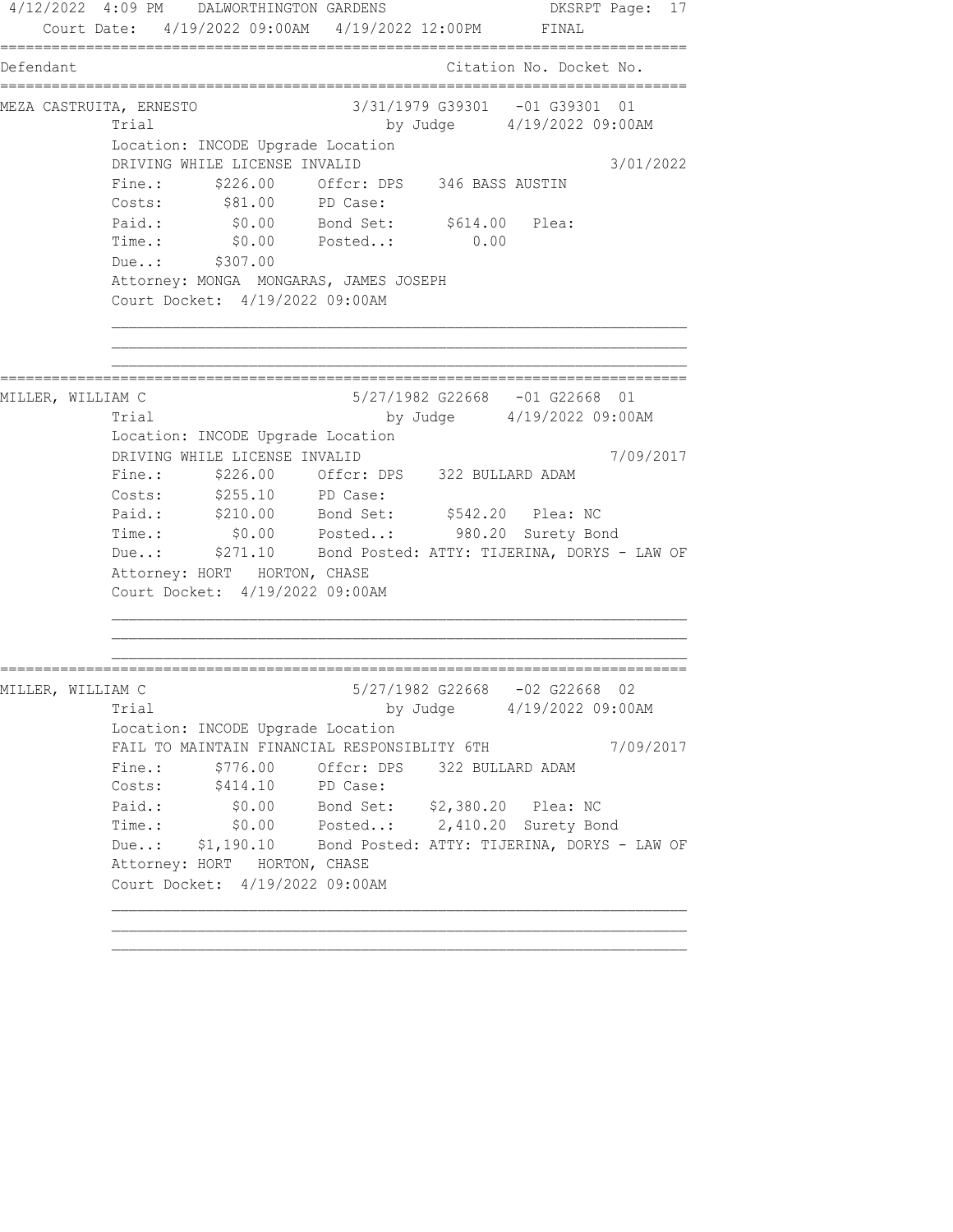4/12/2022 4:09 PM DALWORTHINGTON GARDENS DKSRPT Page: 17 Court Date: 4/19/2022 09:00AM 4/19/2022 12:00PM FINAL ================================================================================ Defendant Citation No. Docket No. ================================================================================ MEZA CASTRUITA, ERNESTO 3/31/1979 G39301 -01 G39301 01 Trial by Judge 4/19/2022 09:00AM Location: INCODE Upgrade Location DRIVING WHILE LICENSE INVALID 3/01/2022 Fine.:  $$226.00$  Offcr: DPS 346 BASS AUSTIN Costs:  $$81.00$  PD Case: Paid.:  $$0.00$  Bond Set:  $$614.00$  Plea: Time.: \$0.00 Posted..: 0.00 Due..: \$307.00 Attorney: MONGA MONGARAS, JAMES JOSEPH Court Docket: 4/19/2022 09:00AM ================================================================================ MILLER, WILLIAM C 5/27/1982 G22668 -01 G22668 01 Trial by Judge 4/19/2022 09:00AM Location: INCODE Upgrade Location DRIVING WHILE LICENSE INVALID 7/09/2017 Fine.: \$226.00 Offcr: DPS 322 BULLARD ADAM Costs: \$255.10 PD Case: Paid.: \$210.00 Bond Set: \$542.20 Plea: NC Time.: \$0.00 Posted..: 980.20 Surety Bond Due..: \$271.10 Bond Posted: ATTY: TIJERINA, DORYS - LAW OF Attorney: HORT HORTON, CHASE Court Docket: 4/19/2022 09:00AM ================================================================================ MILLER, WILLIAM C 5/27/1982 G22668 -02 G22668 02 Trial by Judge 4/19/2022 09:00AM Location: INCODE Upgrade Location FAIL TO MAINTAIN FINANCIAL RESPONSIBLITY 6TH 7/09/2017 Fine.:  $$776.00$  Offcr: DPS 322 BULLARD ADAM Costs: \$414.10 PD Case: Paid.: \$0.00 Bond Set: \$2,380.20 Plea: NC Time.: \$0.00 Posted..: 2,410.20 Surety Bond Due..: \$1,190.10 Bond Posted: ATTY: TIJERINA, DORYS - LAW OF Attorney: HORT HORTON, CHASE Court Docket: 4/19/2022 09:00AM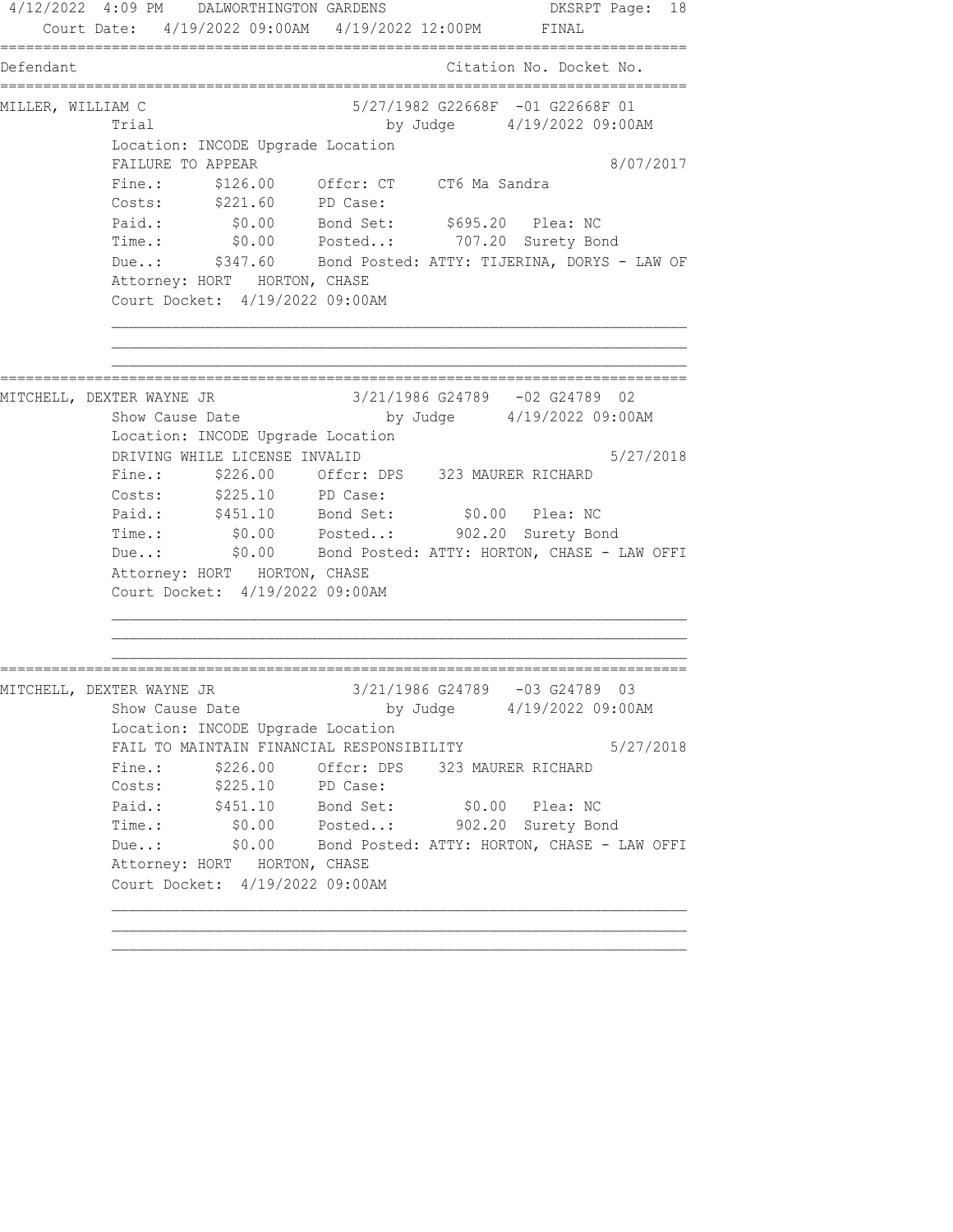4/12/2022 4:09 PM DALWORTHINGTON GARDENS DKSRPT Page: 18 Court Date: 4/19/2022 09:00AM 4/19/2022 12:00PM FINAL ================================================================================ Defendant Citation No. Docket No. ================================================================================ MILLER, WILLIAM C 5/27/1982 G22668F -01 G22668F 01 Trial by Judge  $4/19/2022$  09:00AM Location: INCODE Upgrade Location FAILURE TO APPEAR 8/07/2017 Fine.: \$126.00 Offcr: CT CT6 Ma Sandra Costs: \$221.60 PD Case: Paid.: \$0.00 Bond Set: \$695.20 Plea: NC Time.: \$0.00 Posted..: 707.20 Surety Bond Due..: \$347.60 Bond Posted: ATTY: TIJERINA, DORYS - LAW OF Attorney: HORT HORTON, CHASE Court Docket: 4/19/2022 09:00AM ================================================================================ MITCHELL, DEXTER WAYNE JR 3/21/1986 G24789 -02 G24789 02 Show Cause Date by Judge 4/19/2022 09:00AM Location: INCODE Upgrade Location DRIVING WHILE LICENSE INVALID 5/27/2018 Fine.: \$226.00 Offcr: DPS 323 MAURER RICHARD Costs: \$225.10 PD Case: Paid.: \$451.10 Bond Set: \$0.00 Plea: NC Time.: \$0.00 Posted..: 902.20 Surety Bond Due..: \$0.00 Bond Posted: ATTY: HORTON, CHASE - LAW OFFI Attorney: HORT HORTON, CHASE Court Docket: 4/19/2022 09:00AM ================================================================================ MITCHELL, DEXTER WAYNE JR 3/21/1986 G24789 -03 G24789 03 Show Cause Date by Judge 4/19/2022 09:00AM Location: INCODE Upgrade Location FAIL TO MAINTAIN FINANCIAL RESPONSIBILITY 5/27/2018 Fine.:  $$226.00$  Offcr: DPS 323 MAURER RICHARD Costs: \$225.10 PD Case: Paid.: \$451.10 Bond Set: \$0.00 Plea: NC Time.: \$0.00 Posted..: 902.20 Surety Bond Due..: \$0.00 Bond Posted: ATTY: HORTON, CHASE - LAW OFFI Attorney: HORT HORTON, CHASE Court Docket: 4/19/2022 09:00AM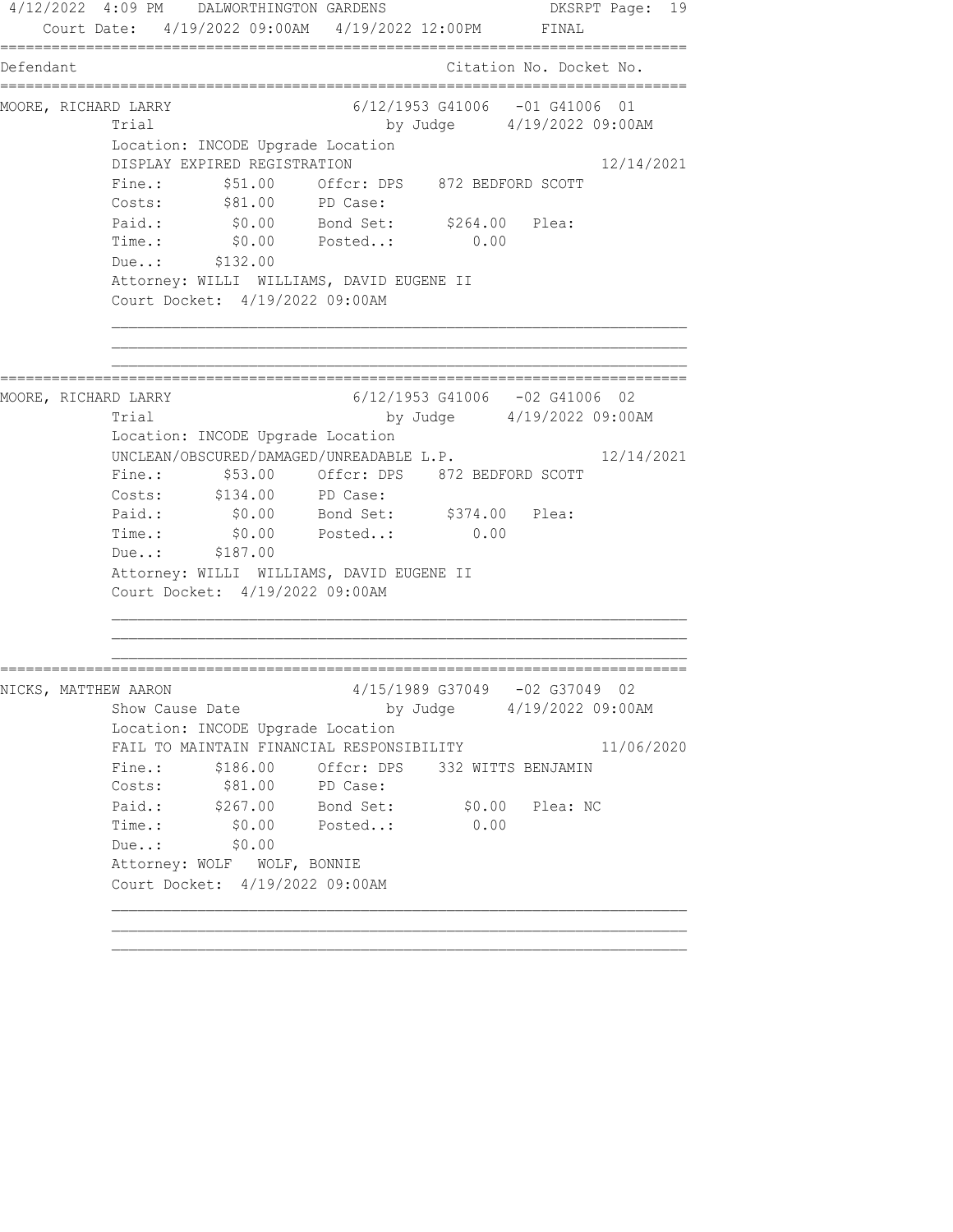4/12/2022 4:09 PM DALWORTHINGTON GARDENS DKSRPT Page: 19 Court Date: 4/19/2022 09:00AM 4/19/2022 12:00PM FINAL ================================================================================ Defendant Citation No. Docket No. ================================================================================ MOORE, RICHARD LARRY 6/12/1953 G41006 -01 G41006 01 Trial by Judge  $4/19/2022$  09:00AM Location: INCODE Upgrade Location DISPLAY EXPIRED REGISTRATION 12/14/2021 Fine.: \$51.00 Offcr: DPS 872 BEDFORD SCOTT Costs: \$81.00 PD Case: Paid.: \$0.00 Bond Set: \$264.00 Plea: Time.: \$0.00 Posted..: 0.00 Due..: \$132.00 Attorney: WILLI WILLIAMS, DAVID EUGENE II Court Docket: 4/19/2022 09:00AM ================================================================================ MOORE, RICHARD LARRY 6/12/1953 G41006 -02 G41006 02 Trial by Judge 4/19/2022 09:00AM Location: INCODE Upgrade Location UNCLEAN/OBSCURED/DAMAGED/UNREADABLE L.P. 12/14/2021 Fine.: \$53.00 Offcr: DPS 872 BEDFORD SCOTT Costs: \$134.00 PD Case: Paid.: \$0.00 Bond Set: \$374.00 Plea: Time.:  $$0.00$  Posted..: 0.00 Due..: \$187.00 Attorney: WILLI WILLIAMS, DAVID EUGENE II Court Docket: 4/19/2022 09:00AM ================================================================================ NICKS, MATTHEW AARON 4/15/1989 G37049 -02 G37049 02 Show Cause Date by Judge 4/19/2022 09:00AM Location: INCODE Upgrade Location FAIL TO MAINTAIN FINANCIAL RESPONSIBILITY 11/06/2020 Fine.: \$186.00 Offcr: DPS 332 WITTS BENJAMIN Costs: \$81.00 PD Case: Paid.: \$267.00 Bond Set: \$0.00 Plea: NC Time.: \$0.00 Posted..: 0.00 Due..: \$0.00 Attorney: WOLF WOLF, BONNIE Court Docket: 4/19/2022 09:00AM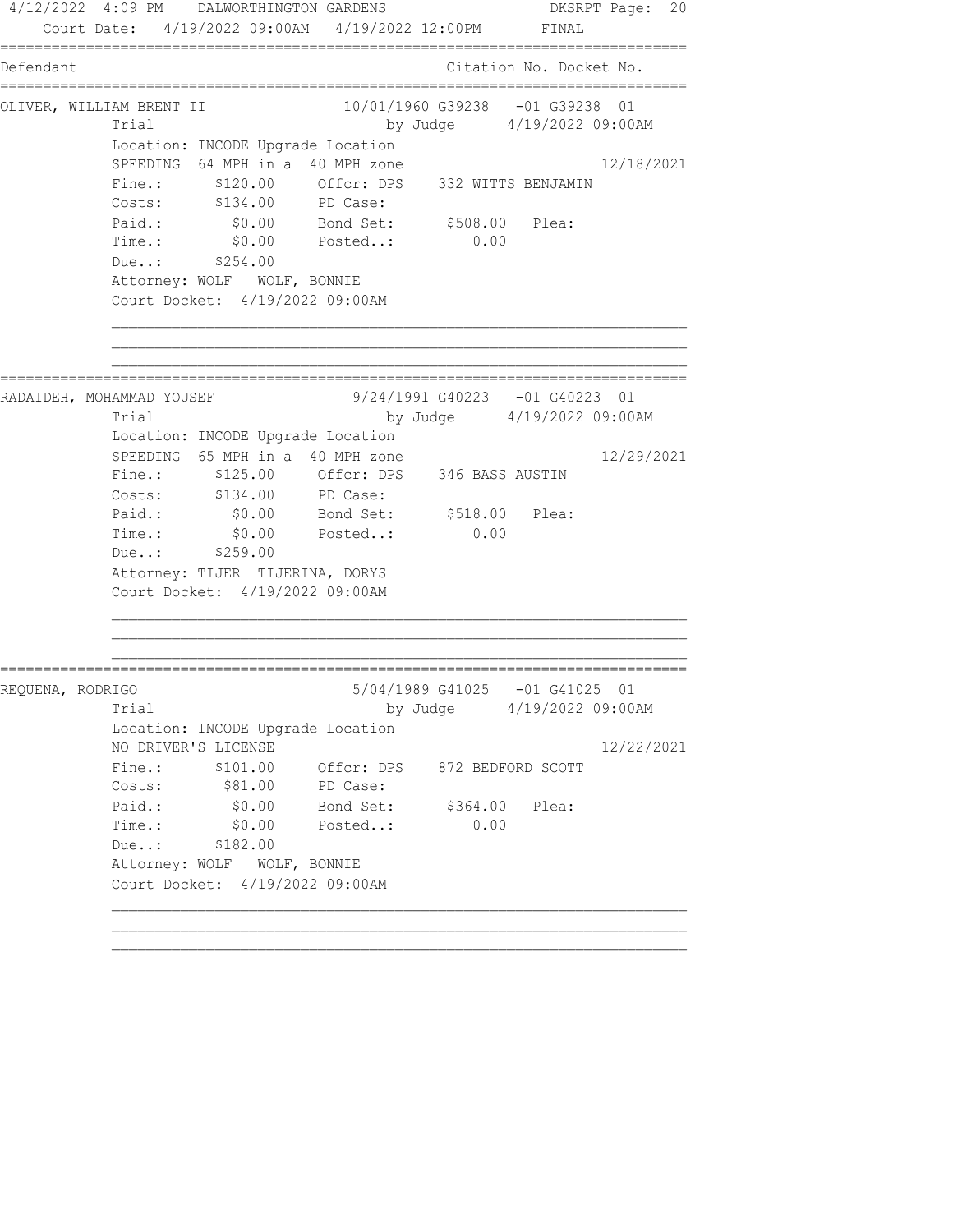4/12/2022 4:09 PM DALWORTHINGTON GARDENS DKSRPT Page: 20 Court Date: 4/19/2022 09:00AM 4/19/2022 12:00PM FINAL ================================================================================ Defendant Citation No. Docket No. ================================================================================ OLIVER, WILLIAM BRENT II 10/01/1960 G39238 -01 G39238 01 Trial by Judge 4/19/2022 09:00AM Location: INCODE Upgrade Location SPEEDING 64 MPH in a 40 MPH zone 12/18/2021 Fine.: \$120.00 Offcr: DPS 332 WITTS BENJAMIN Costs: \$134.00 PD Case: Paid.: \$0.00 Bond Set: \$508.00 Plea: Time.: \$0.00 Posted..: 0.00 Due..: \$254.00 Attorney: WOLF WOLF, BONNIE Court Docket: 4/19/2022 09:00AM ================================================================================ RADAIDEH, MOHAMMAD YOUSEF 9/24/1991 G40223 -01 G40223 01 Trial by Judge 4/19/2022 09:00AM Location: INCODE Upgrade Location SPEEDING 65 MPH in a 40 MPH zone 12/29/2021 Fine.: \$125.00 Offcr: DPS 346 BASS AUSTIN Costs: \$134.00 PD Case: Paid.: \$0.00 Bond Set: \$518.00 Plea: Time.:  $$0.00$  Posted..: 0.00 Due..: \$259.00 Attorney: TIJER TIJERINA, DORYS Court Docket: 4/19/2022 09:00AM ================================================================================ REQUENA, RODRIGO 5/04/1989 G41025 -01 G41025 01 Trial by Judge 4/19/2022 09:00AM Location: INCODE Upgrade Location NO DRIVER'S LICENSE 12/22/2021 Fine.: \$101.00 Offcr: DPS 872 BEDFORD SCOTT Costs: \$81.00 PD Case: Paid.: \$0.00 Bond Set: \$364.00 Plea: Time.: \$0.00 Posted..: 0.00 Due..: \$182.00 Attorney: WOLF WOLF, BONNIE Court Docket: 4/19/2022 09:00AM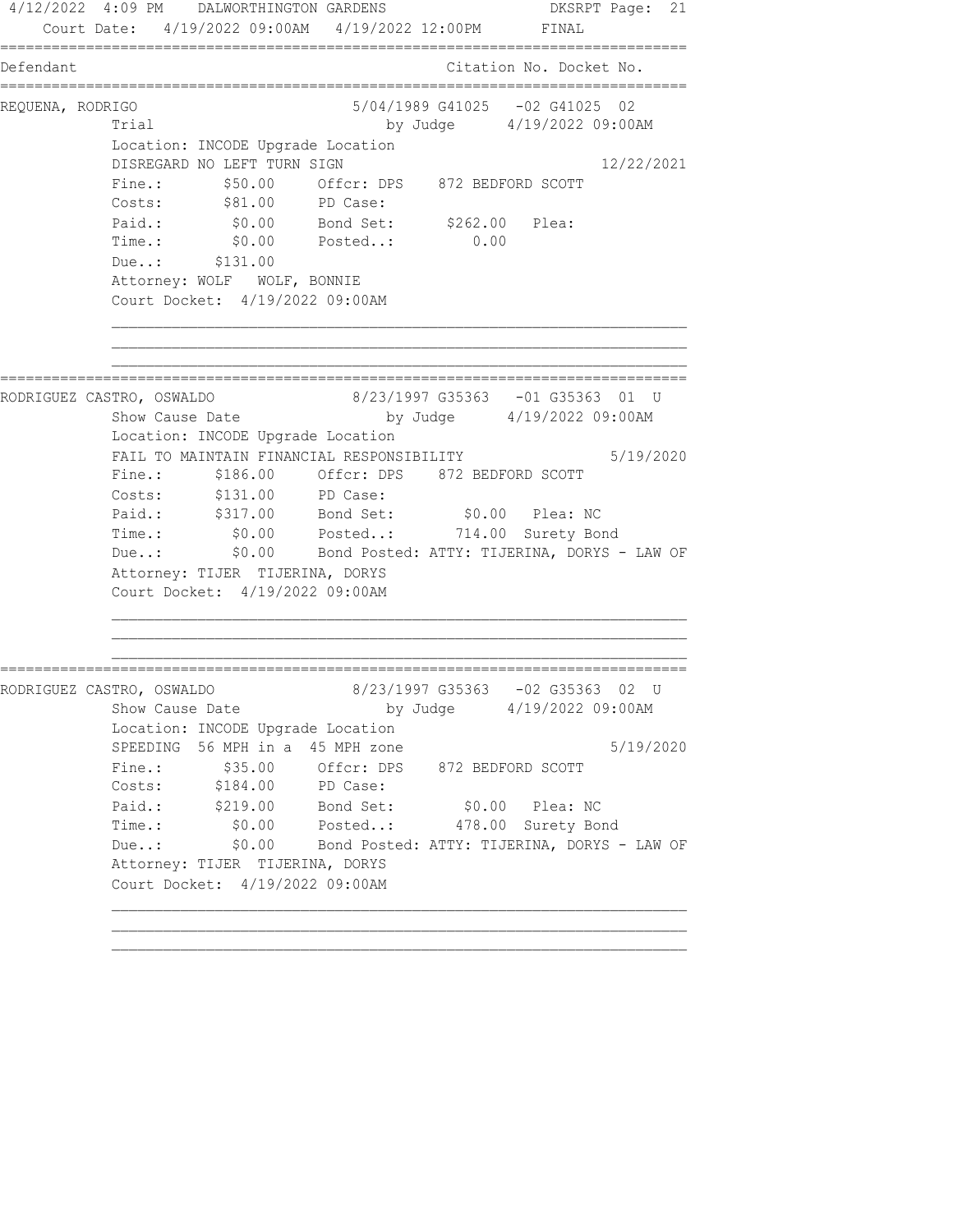4/12/2022 4:09 PM DALWORTHINGTON GARDENS DKSRPT Page: 21 Court Date: 4/19/2022 09:00AM 4/19/2022 12:00PM FINAL ================================================================================ Defendant Citation No. Docket No. ================================================================================ REQUENA, RODRIGO 5/04/1989 G41025 -02 G41025 02 Trial by Judge 4/19/2022 09:00AM Location: INCODE Upgrade Location DISREGARD NO LEFT TURN SIGN 12/22/2021 Fine.:  $$50.00$  Offcr: DPS 872 BEDFORD SCOTT Costs: \$81.00 PD Case: Paid.: \$0.00 Bond Set: \$262.00 Plea: Time.: \$0.00 Posted..: 0.00 Due..: \$131.00 Attorney: WOLF WOLF, BONNIE Court Docket: 4/19/2022 09:00AM ================================================================================ RODRIGUEZ CASTRO, OSWALDO 8/23/1997 G35363 -01 G35363 01 U Show Cause Date by Judge 4/19/2022 09:00AM Location: INCODE Upgrade Location FAIL TO MAINTAIN FINANCIAL RESPONSIBILITY 5/19/2020 Fine.: \$186.00 Offcr: DPS 872 BEDFORD SCOTT Costs: \$131.00 PD Case: Paid.: \$317.00 Bond Set: \$0.00 Plea: NC Time.: \$0.00 Posted..: 714.00 Surety Bond Due..: \$0.00 Bond Posted: ATTY: TIJERINA, DORYS - LAW OF Attorney: TIJER TIJERINA, DORYS Court Docket: 4/19/2022 09:00AM ================================================================================ RODRIGUEZ CASTRO, OSWALDO 8/23/1997 G35363 -02 G35363 02 U Show Cause Date by Judge 4/19/2022 09:00AM Location: INCODE Upgrade Location SPEEDING 56 MPH in a 45 MPH zone 6 19/2020 Fine.:  $$35.00$  Offcr: DPS 872 BEDFORD SCOTT Costs: \$184.00 PD Case:<br>Paid.: \$219.00 Bond Set: Paid.: \$219.00 Bond Set: \$0.00 Plea: NC Time.: \$0.00 Posted..: 478.00 Surety Bond Due..: \$0.00 Bond Posted: ATTY: TIJERINA, DORYS - LAW OF Attorney: TIJER TIJERINA, DORYS Court Docket: 4/19/2022 09:00AM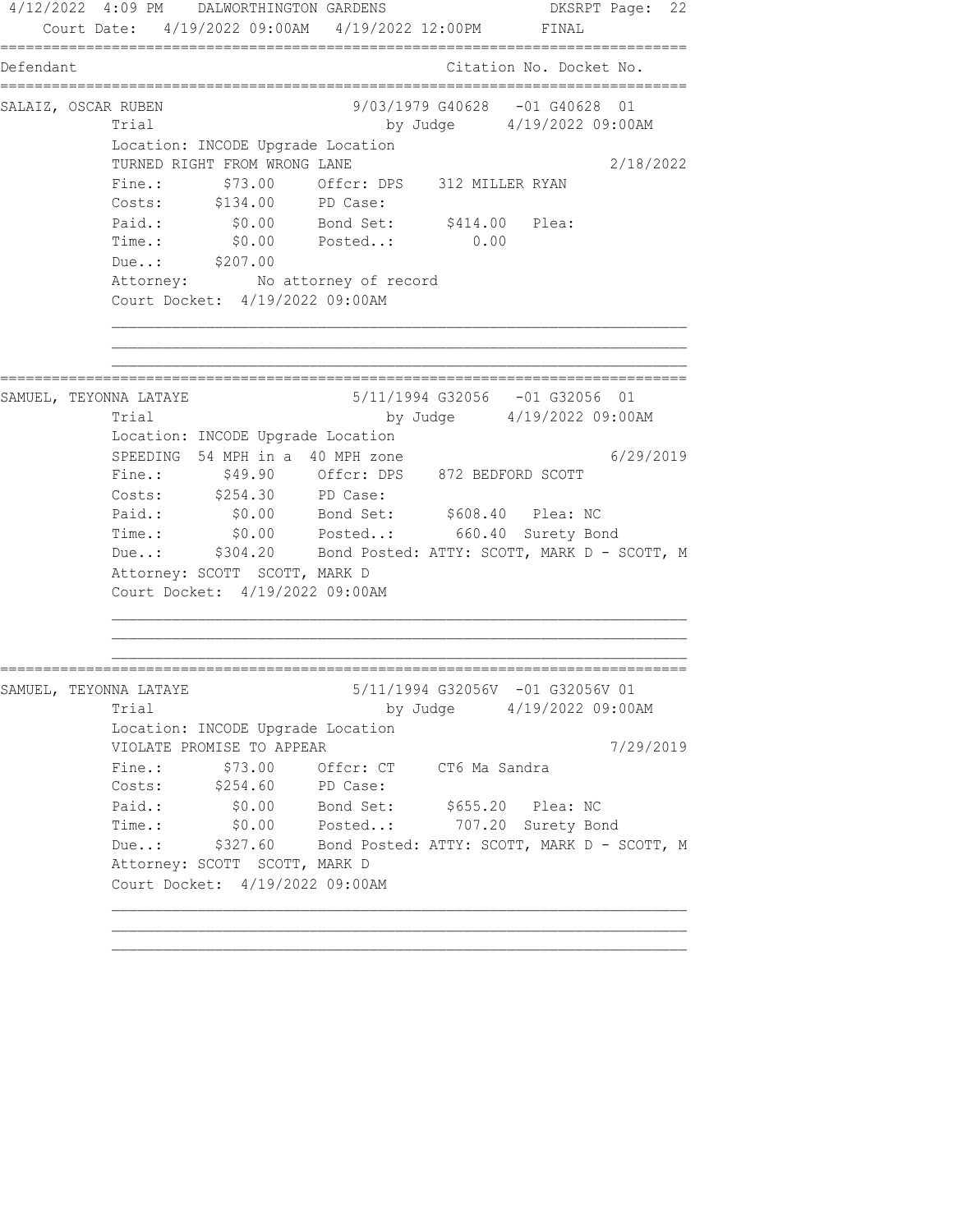4/12/2022 4:09 PM DALWORTHINGTON GARDENS DKSRPT Page: 22 Court Date: 4/19/2022 09:00AM 4/19/2022 12:00PM FINAL ================================================================================ Defendant Citation No. Docket No. ================================================================================ SALAIZ, OSCAR RUBEN 9/03/1979 G40628 -01 G40628 01 Trial by Judge 4/19/2022 09:00AM Location: INCODE Upgrade Location TURNED RIGHT FROM WRONG LANE 2/18/2022 Fine.:  $$73.00$  Offcr: DPS 312 MILLER RYAN Costs: \$134.00 PD Case: Paid.:  $$0.00$  Bond Set:  $$414.00$  Plea: Time.: \$0.00 Posted..: 0.00 Due..: \$207.00 Attorney: No attorney of record Court Docket: 4/19/2022 09:00AM ================================================================================ SAMUEL, TEYONNA LATAYE 5/11/1994 G32056 -01 G32056 01 Trial by Judge 4/19/2022 09:00AM Location: INCODE Upgrade Location SPEEDING 54 MPH in a 40 MPH zone 6/29/2019 Fine.: \$49.90 Offcr: DPS 872 BEDFORD SCOTT Costs: \$254.30 PD Case: Paid.: \$0.00 Bond Set: \$608.40 Plea: NC Time.: \$0.00 Posted..: 660.40 Surety Bond Due..: \$304.20 Bond Posted: ATTY: SCOTT, MARK D - SCOTT, M Attorney: SCOTT SCOTT, MARK D Court Docket: 4/19/2022 09:00AM ================================================================================ SAMUEL, TEYONNA LATAYE 5/11/1994 G32056V -01 G32056V 01 Trial by Judge 4/19/2022 09:00AM Location: INCODE Upgrade Location VIOLATE PROMISE TO APPEAR 7/29/2019 Fine.: \$73.00 Offcr: CT CT6 Ma Sandra Costs: \$254.60 PD Case: Paid.: \$0.00 Bond Set: \$655.20 Plea: NC Time.: \$0.00 Posted..: 707.20 Surety Bond Due..: \$327.60 Bond Posted: ATTY: SCOTT, MARK D - SCOTT, M Attorney: SCOTT SCOTT, MARK D Court Docket: 4/19/2022 09:00AM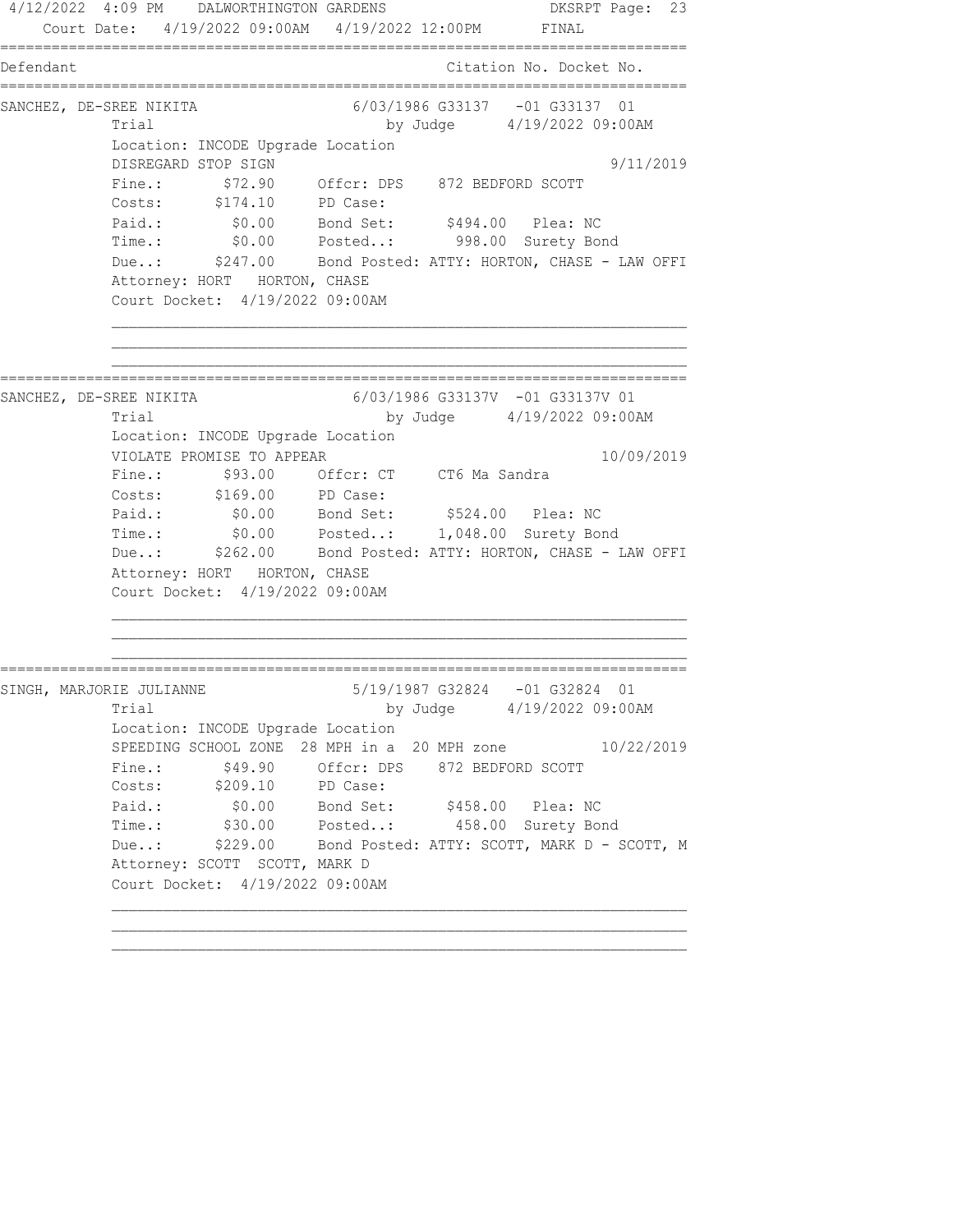4/12/2022 4:09 PM DALWORTHINGTON GARDENS DKSRPT Page: 23 Court Date: 4/19/2022 09:00AM 4/19/2022 12:00PM FINAL ================================================================================ Defendant Citation No. Docket No. ================================================================================ SANCHEZ, DE-SREE NIKITA 6/03/1986 G33137 -01 G33137 01 Trial by Judge 4/19/2022 09:00AM Location: INCODE Upgrade Location DISREGARD STOP SIGN 9/11/2019 Fine.: \$72.90 Offcr: DPS 872 BEDFORD SCOTT Costs: \$174.10 PD Case: Paid.: \$0.00 Bond Set: \$494.00 Plea: NC Time.: \$0.00 Posted..: 998.00 Surety Bond Due..: \$247.00 Bond Posted: ATTY: HORTON, CHASE - LAW OFFI Attorney: HORT HORTON, CHASE Court Docket: 4/19/2022 09:00AM ================================================================================ SANCHEZ, DE-SREE NIKITA 6/03/1986 G33137V -01 G33137V 01 Trial by Judge 4/19/2022 09:00AM Location: INCODE Upgrade Location VIOLATE PROMISE TO APPEAR 10/09/2019 Fine.: \$93.00 Offcr: CT CT6 Ma Sandra Costs: \$169.00 PD Case: Paid.: \$0.00 Bond Set: \$524.00 Plea: NC Time.: \$0.00 Posted..: 1,048.00 Surety Bond Due..: \$262.00 Bond Posted: ATTY: HORTON, CHASE - LAW OFFI Attorney: HORT HORTON, CHASE Court Docket: 4/19/2022 09:00AM ================================================================================ SINGH, MARJORIE JULIANNE 5/19/1987 G32824 -01 G32824 01 Trial by Judge 4/19/2022 09:00AM Location: INCODE Upgrade Location SPEEDING SCHOOL ZONE 28 MPH in a 20 MPH zone 10/22/2019 Fine.:  $$49.90$  Offcr: DPS 872 BEDFORD SCOTT Costs: \$209.10 PD Case: Paid.: \$0.00 Bond Set: \$458.00 Plea: NC Time.: \$30.00 Posted..: 458.00 Surety Bond Due..: \$229.00 Bond Posted: ATTY: SCOTT, MARK D - SCOTT, M Attorney: SCOTT SCOTT, MARK D Court Docket: 4/19/2022 09:00AM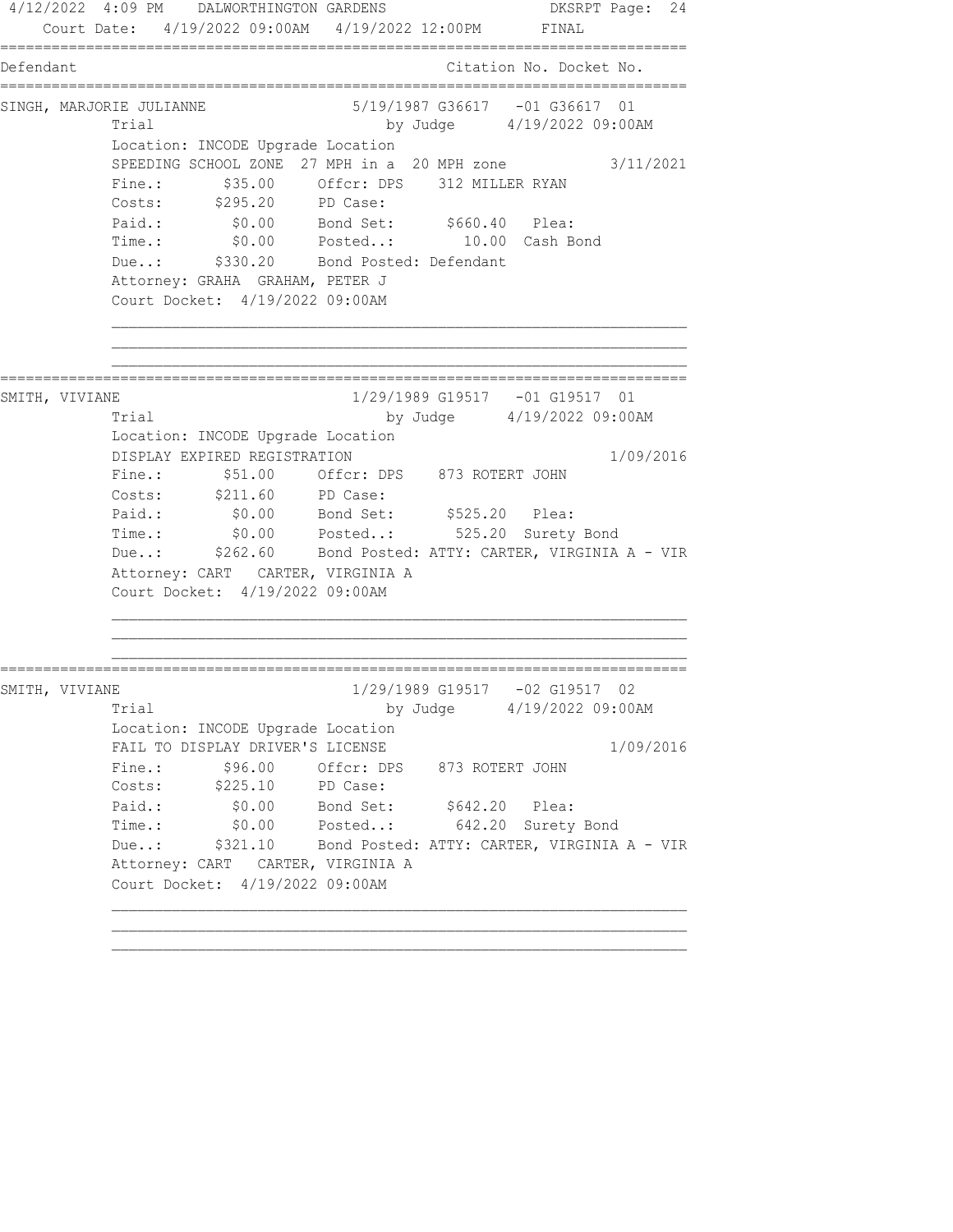4/12/2022 4:09 PM DALWORTHINGTON GARDENS DKSRPT Page: 24 Court Date: 4/19/2022 09:00AM 4/19/2022 12:00PM FINAL ================================================================================ Defendant Citation No. Docket No. ================================================================================ SINGH, MARJORIE JULIANNE 6/19/1987 G36617 -01 G36617 01 Trial by Judge 4/19/2022 09:00AM Location: INCODE Upgrade Location SPEEDING SCHOOL ZONE 27 MPH in a 20 MPH zone 3/11/2021 Fine.:  $$35.00$  Offcr: DPS 312 MILLER RYAN Costs: \$295.20 PD Case: Paid.:  $$0.00$  Bond Set:  $$660.40$  Plea: Time.: \$0.00 Posted..: 10.00 Cash Bond Due..: \$330.20 Bond Posted: Defendant Attorney: GRAHA GRAHAM, PETER J Court Docket: 4/19/2022 09:00AM ================================================================================ SMITH, VIVIANE 1/29/1989 G19517 -01 G19517 01 Trial by Judge 4/19/2022 09:00AM Location: INCODE Upgrade Location DISPLAY EXPIRED REGISTRATION 1/09/2016 Fine.:  $$51.00$  Offcr: DPS 873 ROTERT JOHN Costs: \$211.60 PD Case: Paid.: \$0.00 Bond Set: \$525.20 Plea: Time.: \$0.00 Posted..: 525.20 Surety Bond Due..: \$262.60 Bond Posted: ATTY: CARTER, VIRGINIA A - VIR Attorney: CART CARTER, VIRGINIA A Court Docket: 4/19/2022 09:00AM ================================================================================ SMITH, VIVIANE 1/29/1989 G19517 -02 G19517 02 Trial by Judge 4/19/2022 09:00AM Location: INCODE Upgrade Location FAIL TO DISPLAY DRIVER'S LICENSE 1/09/2016 Fine.:  $$96.00$  Offcr: DPS 873 ROTERT JOHN Costs: \$225.10 PD Case: Paid.:  $$0.00$  Bond Set:  $$642.20$  Plea: Time.: \$0.00 Posted..: 642.20 Surety Bond Due..: \$321.10 Bond Posted: ATTY: CARTER, VIRGINIA A - VIR Attorney: CART CARTER, VIRGINIA A Court Docket: 4/19/2022 09:00AM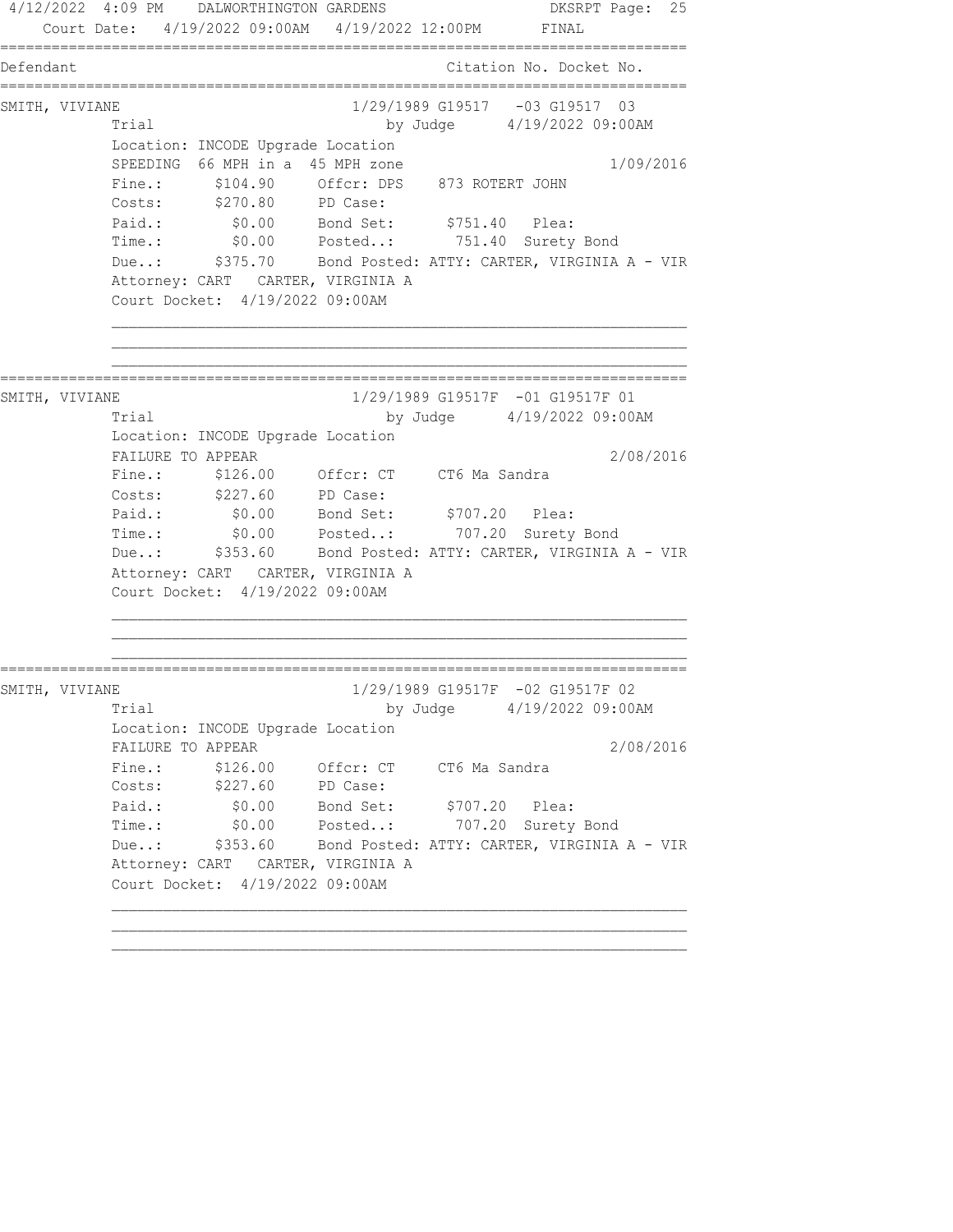4/12/2022 4:09 PM DALWORTHINGTON GARDENS DKSRPT Page: 25 Court Date: 4/19/2022 09:00AM 4/19/2022 12:00PM FINAL ================================================================================ Defendant Citation No. Docket No. ================================================================================ SMITH, VIVIANE 1/29/1989 G19517 -03 G19517 03 Trial by Judge 4/19/2022 09:00AM Location: INCODE Upgrade Location SPEEDING 66 MPH in a 45 MPH zone 1/09/2016 Fine.:  $$104.90$  Offcr: DPS 873 ROTERT JOHN Costs: \$270.80 PD Case: Paid.: \$0.00 Bond Set: \$751.40 Plea: Time.: \$0.00 Posted..: 751.40 Surety Bond Due..: \$375.70 Bond Posted: ATTY: CARTER, VIRGINIA A - VIR Attorney: CART CARTER, VIRGINIA A Court Docket: 4/19/2022 09:00AM ================================================================================ SMITH, VIVIANE 2008 1/29/1989 G19517F -01 G19517F 01 Trial by Judge 4/19/2022 09:00AM Location: INCODE Upgrade Location FAILURE TO APPEAR 2/08/2016 Fine.: \$126.00 Offcr: CT CT6 Ma Sandra Costs:  $\frac{227.60}{227.60}$  PD Case: Paid.: \$0.00 Bond Set: \$707.20 Plea: Time.: \$0.00 Posted..: 707.20 Surety Bond Due..: \$353.60 Bond Posted: ATTY: CARTER, VIRGINIA A - VIR Attorney: CART CARTER, VIRGINIA A Court Docket: 4/19/2022 09:00AM ================================================================================ SMITH, VIVIANE 1/29/1989 G19517F -02 G19517F 02 Trial by Judge 4/19/2022 09:00AM Location: INCODE Upgrade Location FAILURE TO APPEAR 2/08/2016 Fine.: \$126.00 Offcr: CT CT6 Ma Sandra Costs: \$227.60 PD Case: Paid.: \$0.00 Bond Set: \$707.20 Plea: Time.: \$0.00 Posted..: 707.20 Surety Bond Due..: \$353.60 Bond Posted: ATTY: CARTER, VIRGINIA A - VIR Attorney: CART CARTER, VIRGINIA A Court Docket: 4/19/2022 09:00AM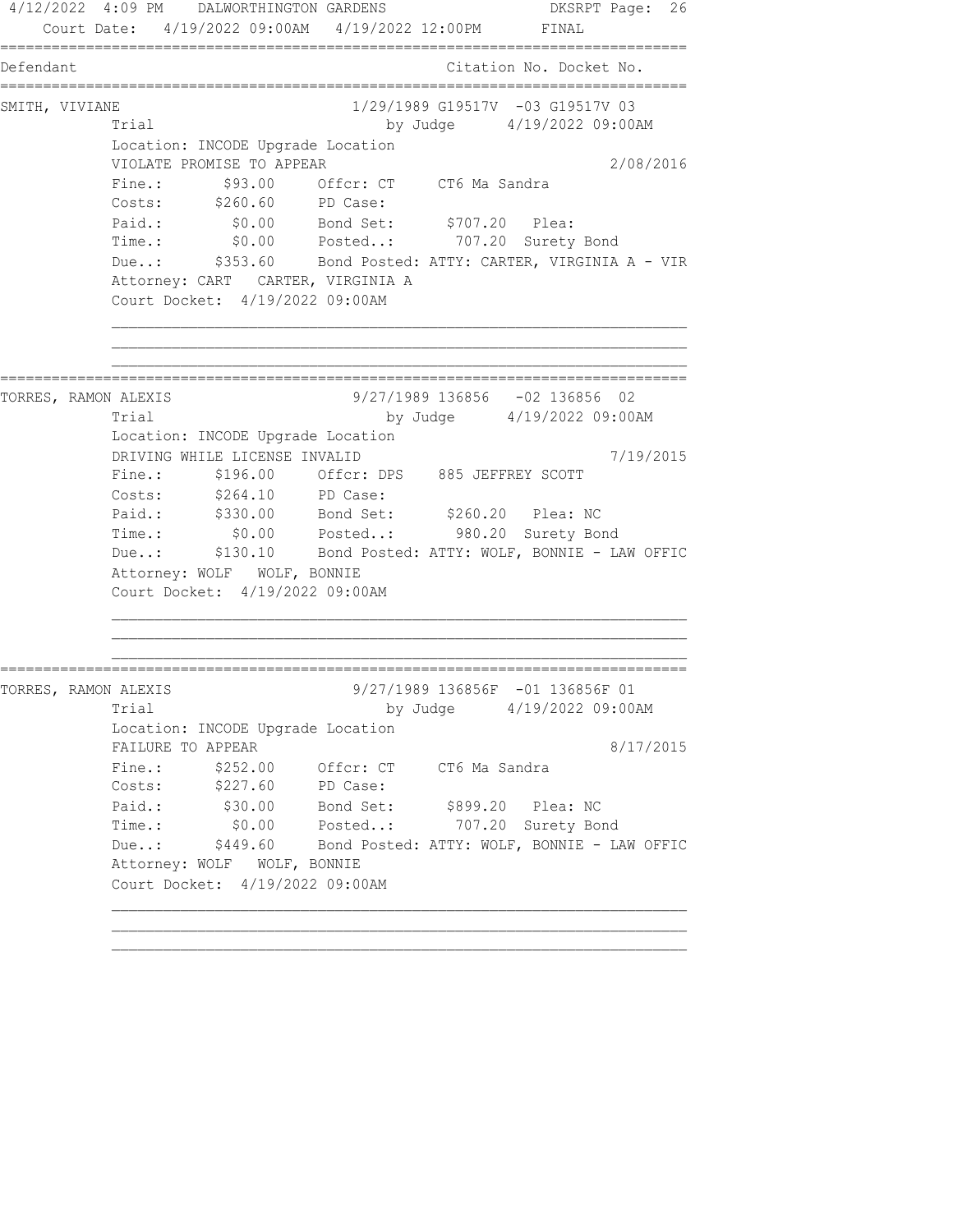4/12/2022 4:09 PM DALWORTHINGTON GARDENS DKSRPT Page: 26 Court Date: 4/19/2022 09:00AM 4/19/2022 12:00PM FINAL ================================================================================ Defendant Citation No. Docket No. ================================================================================ SMITH, VIVIANE 1/29/1989 G19517V -03 G19517V 03 Trial by Judge 4/19/2022 09:00AM Location: INCODE Upgrade Location VIOLATE PROMISE TO APPEAR 2/08/2016 Fine.:  $$93.00$  Offcr: CT CT6 Ma Sandra Costs: \$260.60 PD Case: Paid.: \$0.00 Bond Set: \$707.20 Plea: Time.: \$0.00 Posted..: 707.20 Surety Bond Due..: \$353.60 Bond Posted: ATTY: CARTER, VIRGINIA A - VIR Attorney: CART CARTER, VIRGINIA A Court Docket: 4/19/2022 09:00AM ================================================================================ TORRES, RAMON ALEXIS 9/27/1989 136856 -02 136856 02 Trial by Judge 4/19/2022 09:00AM Location: INCODE Upgrade Location DRIVING WHILE LICENSE INVALID 7/19/2015 Fine.: \$196.00 Offcr: DPS 885 JEFFREY SCOTT Costs: \$264.10 PD Case: Paid.: \$330.00 Bond Set: \$260.20 Plea: NC Time.: \$0.00 Posted..: 980.20 Surety Bond Due..: \$130.10 Bond Posted: ATTY: WOLF, BONNIE - LAW OFFIC Attorney: WOLF WOLF, BONNIE Court Docket: 4/19/2022 09:00AM ================================================================================ TORRES, RAMON ALEXIS 9/27/1989 136856F -01 136856F 01 Trial by Judge 4/19/2022 09:00AM Location: INCODE Upgrade Location FAILURE TO APPEAR 8/17/2015 Fine.: \$252.00 Offcr: CT CT6 Ma Sandra Costs: \$227.60 PD Case: Paid.: \$30.00 Bond Set: \$899.20 Plea: NC Time.: \$0.00 Posted..: 707.20 Surety Bond Due..: \$449.60 Bond Posted: ATTY: WOLF, BONNIE - LAW OFFIC Attorney: WOLF WOLF, BONNIE Court Docket: 4/19/2022 09:00AM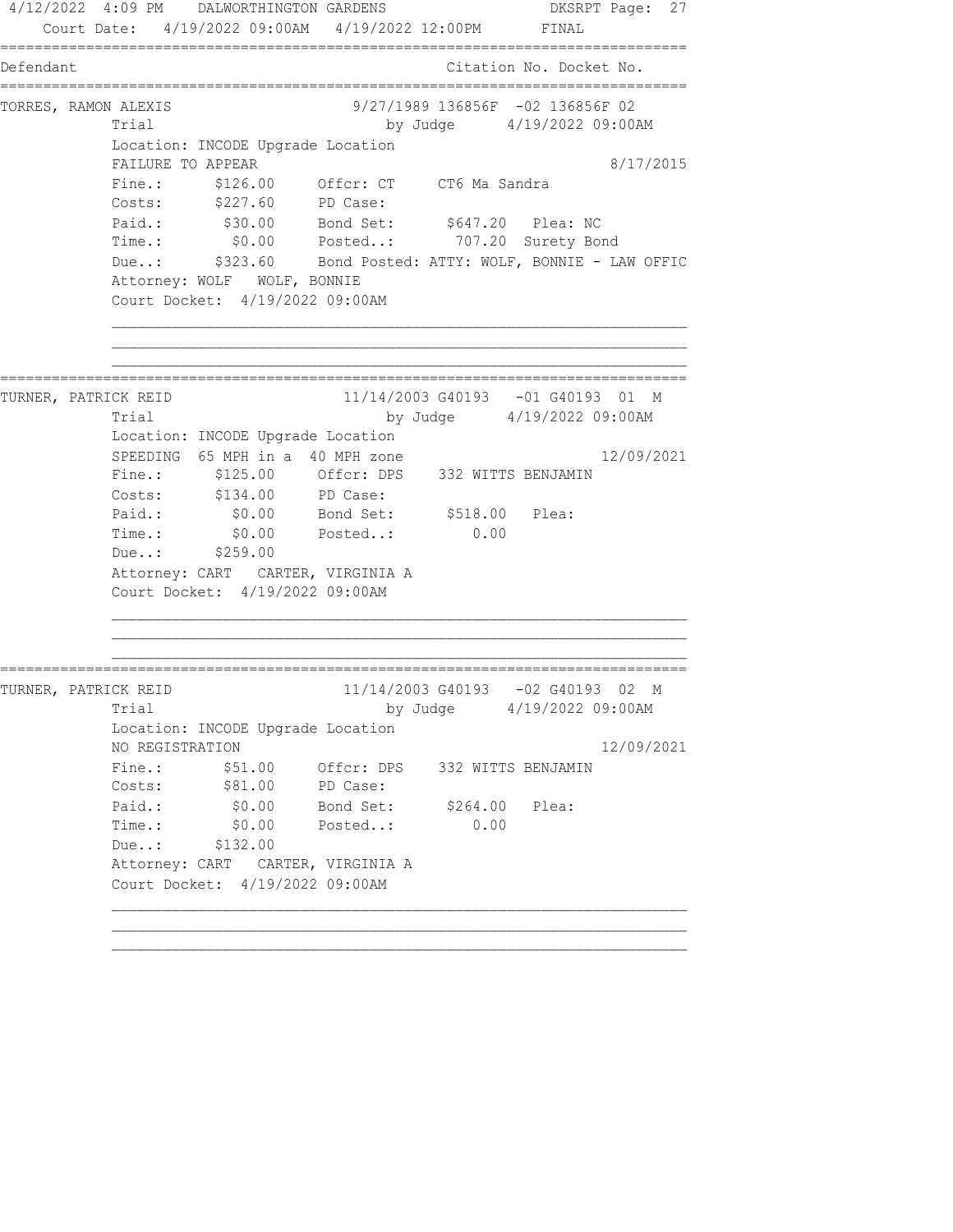4/12/2022 4:09 PM DALWORTHINGTON GARDENS DKSRPT Page: 27 Court Date: 4/19/2022 09:00AM 4/19/2022 12:00PM FINAL ================================================================================ Defendant Citation No. Docket No. ================================================================================ TORRES, RAMON ALEXIS 9/27/1989 136856F -02 136856F 02 Trial by Judge 4/19/2022 09:00AM Location: INCODE Upgrade Location FAILURE TO APPEAR 8/17/2015 Fine.: \$126.00 Offcr: CT CT6 Ma Sandra Costs: \$227.60 PD Case: Paid.: \$30.00 Bond Set: \$647.20 Plea: NC Time.: \$0.00 Posted..: 707.20 Surety Bond Due..: \$323.60 Bond Posted: ATTY: WOLF, BONNIE - LAW OFFIC Attorney: WOLF WOLF, BONNIE Court Docket: 4/19/2022 09:00AM ================================================================================ TURNER, PATRICK REID 11/14/2003 G40193 -01 G40193 01 M Trial by Judge 4/19/2022 09:00AM Location: INCODE Upgrade Location SPEEDING 65 MPH in a 40 MPH zone 12/09/2021 Fine.: \$125.00 Offcr: DPS 332 WITTS BENJAMIN Costs: \$134.00 PD Case: Paid.: \$0.00 Bond Set: \$518.00 Plea: Paid.: \$0.00 Bond Set: \$518.00 Plea:<br>Time.: \$0.00 Posted..: 0.00 Due..: \$259.00 Attorney: CART CARTER, VIRGINIA A Court Docket: 4/19/2022 09:00AM ================================================================================ TURNER, PATRICK REID 11/14/2003 G40193 -02 G40193 02 M Trial by Judge  $4/19/2022$  09:00AM Location: INCODE Upgrade Location NO REGISTRATION 12/09/2021 Fine.:  $$51.00$  Offcr: DPS 332 WITTS BENJAMIN Costs:  $$81.00$  PD Case: Paid.: \$0.00 Bond Set: \$264.00 Plea: Time.:  $$0.00$  Posted..: 0.00 Due..: \$132.00 Attorney: CART CARTER, VIRGINIA A Court Docket: 4/19/2022 09:00AM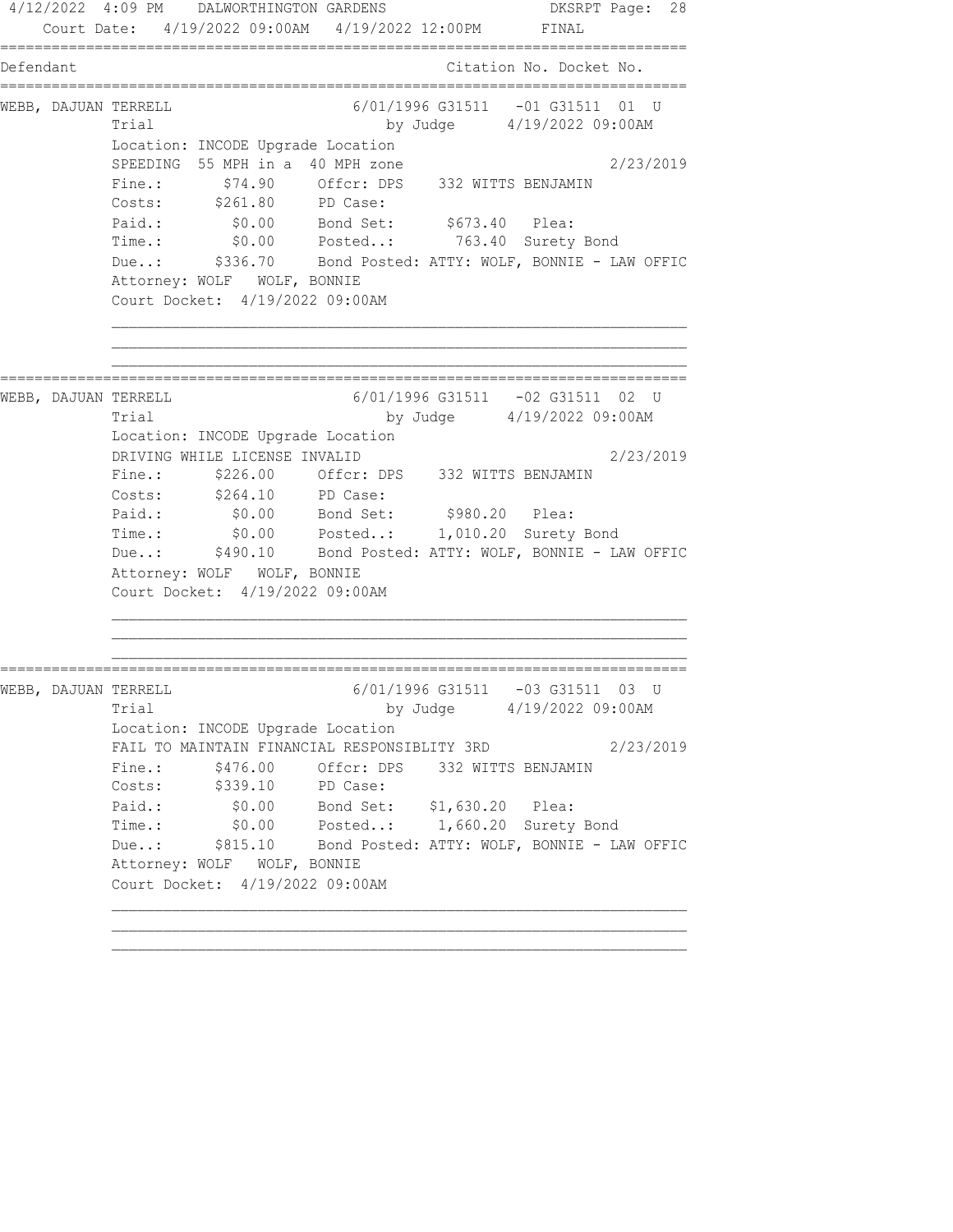4/12/2022 4:09 PM DALWORTHINGTON GARDENS DKSRPT Page: 28 Court Date: 4/19/2022 09:00AM 4/19/2022 12:00PM FINAL ================================================================================ Defendant Citation No. Docket No. ================================================================================ WEBB, DAJUAN TERRELL 6/01/1996 G31511 -01 G31511 01 U Trial by Judge 4/19/2022 09:00AM Location: INCODE Upgrade Location SPEEDING 55 MPH in a 40 MPH zone 2/23/2019 Fine.:  $$74.90$  Offcr: DPS 332 WITTS BENJAMIN Costs: \$261.80 PD Case: Paid.:  $$0.00$  Bond Set:  $$673.40$  Plea: Time.: \$0.00 Posted..: 763.40 Surety Bond Due..: \$336.70 Bond Posted: ATTY: WOLF, BONNIE - LAW OFFIC Attorney: WOLF WOLF, BONNIE Court Docket: 4/19/2022 09:00AM ================================================================================ WEBB, DAJUAN TERRELL 6/01/1996 G31511 -02 G31511 02 U Trial by Judge 4/19/2022 09:00AM Location: INCODE Upgrade Location DRIVING WHILE LICENSE INVALID 2/23/2019 Fine.: \$226.00 Offcr: DPS 332 WITTS BENJAMIN Costs: \$264.10 PD Case: Paid.: \$0.00 Bond Set: \$980.20 Plea: Time.: \$0.00 Posted..: 1,010.20 Surety Bond Due..: \$490.10 Bond Posted: ATTY: WOLF, BONNIE - LAW OFFIC Attorney: WOLF WOLF, BONNIE Court Docket: 4/19/2022 09:00AM ================================================================================ WEBB, DAJUAN TERRELL 6/01/1996 G31511 -03 G31511 03 U Trial by Judge  $4/19/2022$  09:00AM Location: INCODE Upgrade Location FAIL TO MAINTAIN FINANCIAL RESPONSIBLITY 3RD  $2/23/2019$ Fine.:  $$476.00$  Offcr: DPS 332 WITTS BENJAMIN Costs: \$339.10 PD Case: Paid.: \$0.00 Bond Set: \$1,630.20 Plea: Time.: \$0.00 Posted..: 1,660.20 Surety Bond Due..: \$815.10 Bond Posted: ATTY: WOLF, BONNIE - LAW OFFIC Attorney: WOLF WOLF, BONNIE Court Docket: 4/19/2022 09:00AM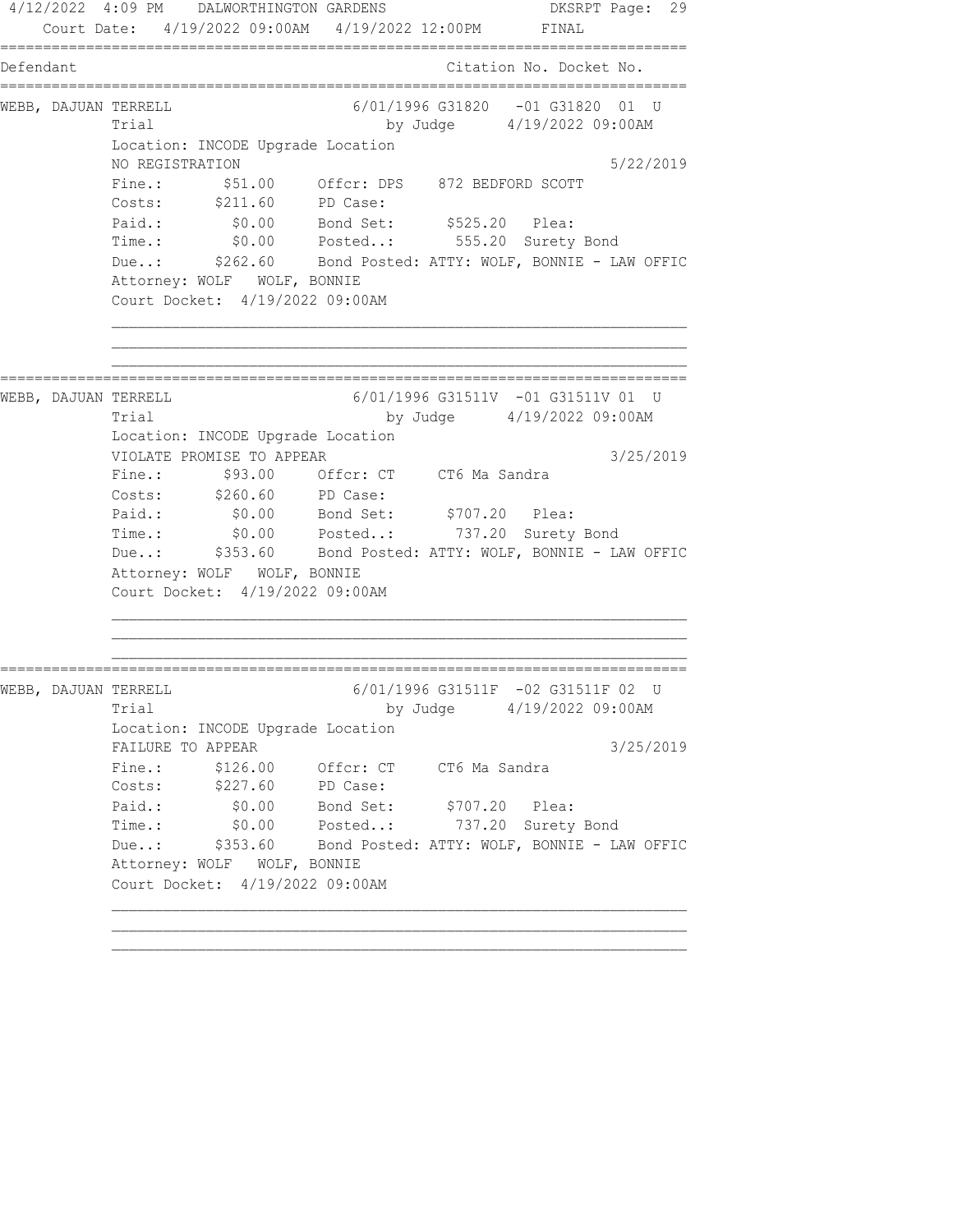4/12/2022 4:09 PM DALWORTHINGTON GARDENS DKSRPT Page: 29 Court Date: 4/19/2022 09:00AM 4/19/2022 12:00PM FINAL ================================================================================ Defendant Citation No. Docket No. ================================================================================ WEBB, DAJUAN TERRELL 6/01/1996 G31820 -01 G31820 01 U Trial by Judge 4/19/2022 09:00AM Location: INCODE Upgrade Location NO REGISTRATION 5/22/2019 Fine.: \$51.00 Offcr: DPS 872 BEDFORD SCOTT Costs: \$211.60 PD Case: Paid.: \$0.00 Bond Set: \$525.20 Plea: Time.: \$0.00 Posted..: 555.20 Surety Bond Due..: \$262.60 Bond Posted: ATTY: WOLF, BONNIE - LAW OFFIC Attorney: WOLF WOLF, BONNIE Court Docket: 4/19/2022 09:00AM ================================================================================ WEBB, DAJUAN TERRELL 6/01/1996 G31511V -01 G31511V 01 U Trial by Judge 4/19/2022 09:00AM Location: INCODE Upgrade Location VIOLATE PROMISE TO APPEAR 3/25/2019 Fine.: \$93.00 Offcr: CT CT6 Ma Sandra Costs: \$260.60 PD Case: Paid.: \$0.00 Bond Set: \$707.20 Plea: Time.: \$0.00 Posted..: 737.20 Surety Bond Due..: \$353.60 Bond Posted: ATTY: WOLF, BONNIE - LAW OFFIC Attorney: WOLF WOLF, BONNIE Court Docket: 4/19/2022 09:00AM ================================================================================ WEBB, DAJUAN TERRELL 6/01/1996 G31511F -02 G31511F 02 U Trial by Judge  $4/19/2022$  09:00AM Location: INCODE Upgrade Location FAILURE TO APPEAR 3/25/2019 Fine.: \$126.00 Offcr: CT CT6 Ma Sandra Costs: \$227.60 PD Case: Paid.: \$0.00 Bond Set: \$707.20 Plea: Time.: \$0.00 Posted..: 737.20 Surety Bond Due..: \$353.60 Bond Posted: ATTY: WOLF, BONNIE - LAW OFFIC Attorney: WOLF WOLF, BONNIE Court Docket: 4/19/2022 09:00AM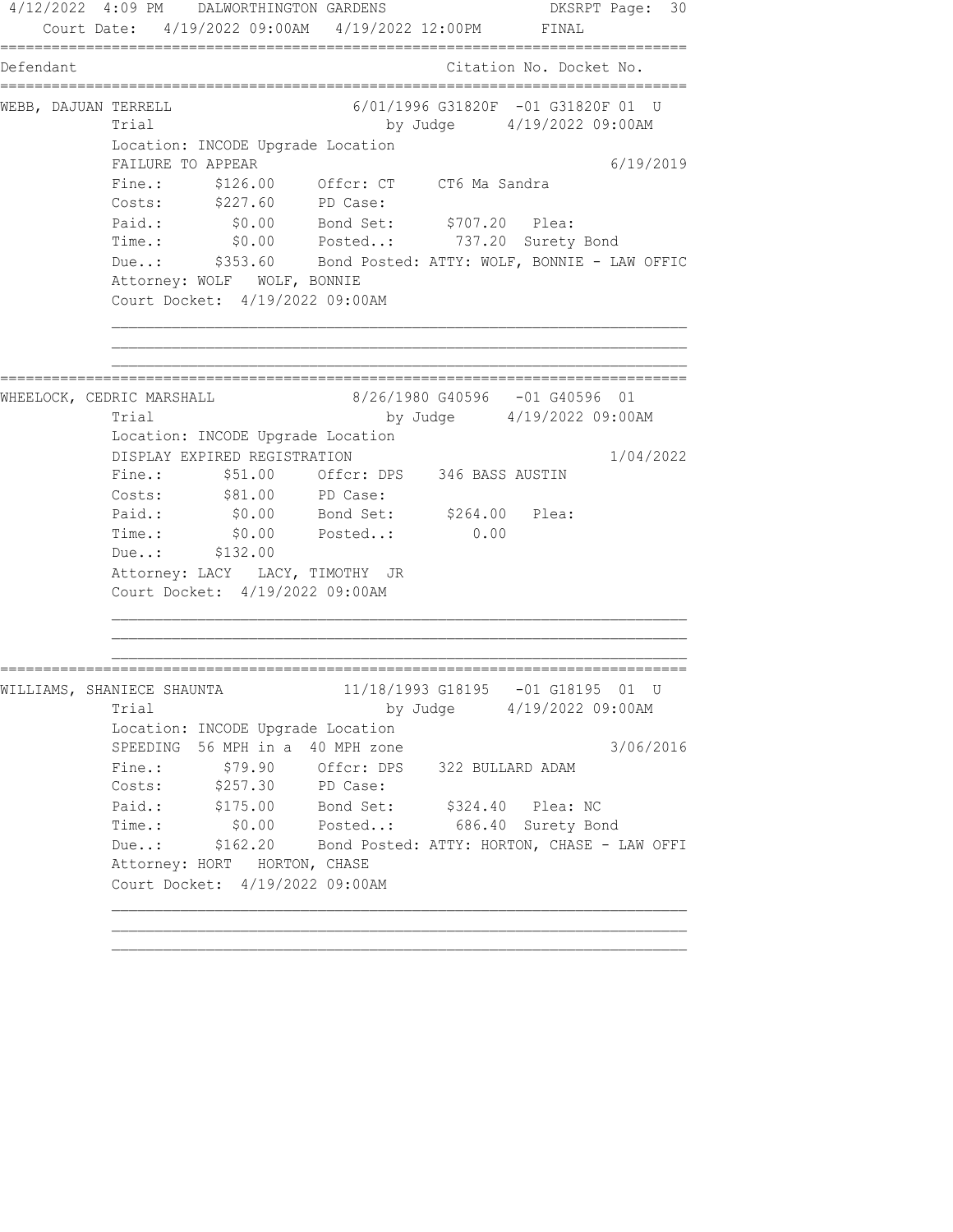4/12/2022 4:09 PM DALWORTHINGTON GARDENS DKSRPT Page: 30 Court Date: 4/19/2022 09:00AM 4/19/2022 12:00PM FINAL ================================================================================ Defendant Citation No. Docket No. ================================================================================ WEBB, DAJUAN TERRELL 6/01/1996 G31820F -01 G31820F 01 U Trial by Judge 4/19/2022 09:00AM Location: INCODE Upgrade Location FAILURE TO APPEAR 6/19/2019 Fine.: \$126.00 Offcr: CT CT6 Ma Sandra Costs: \$227.60 PD Case: Paid.: \$0.00 Bond Set: \$707.20 Plea: Time.: \$0.00 Posted..: 737.20 Surety Bond Due..: \$353.60 Bond Posted: ATTY: WOLF, BONNIE - LAW OFFIC Attorney: WOLF WOLF, BONNIE Court Docket: 4/19/2022 09:00AM ================================================================================ WHEELOCK, CEDRIC MARSHALL 8/26/1980 G40596 -01 G40596 01 Trial by Judge 4/19/2022 09:00AM Location: INCODE Upgrade Location DISPLAY EXPIRED REGISTRATION 1/04/2022 Fine.: \$51.00 Offcr: DPS 346 BASS AUSTIN Costs:  $$81.00$  PD Case: Paid.: \$0.00 Bond Set: \$264.00 Plea: raiu..  $\frac{30.00}{204.00}$  Bond Set.  $\frac{3264.00}{204.00}$ <br>Time.: \$0.00 Posted..: 0.00 Due..: \$132.00 Attorney: LACY LACY, TIMOTHY JR Court Docket: 4/19/2022 09:00AM ================================================================================ WILLIAMS, SHANIECE SHAUNTA 11/18/1993 G18195 -01 G18195 01 U Trial by Judge 4/19/2022 09:00AM Location: INCODE Upgrade Location SPEEDING 56 MPH in a 40 MPH zone  $3/06/2016$ Fine.:  $$79.90$  Offcr: DPS 322 BULLARD ADAM Costs: \$257.30 PD Case: Paid.: \$175.00 Bond Set: \$324.40 Plea: NC Time.: \$0.00 Posted..: 686.40 Surety Bond Due..: \$162.20 Bond Posted: ATTY: HORTON, CHASE - LAW OFFI Attorney: HORT HORTON, CHASE Court Docket: 4/19/2022 09:00AM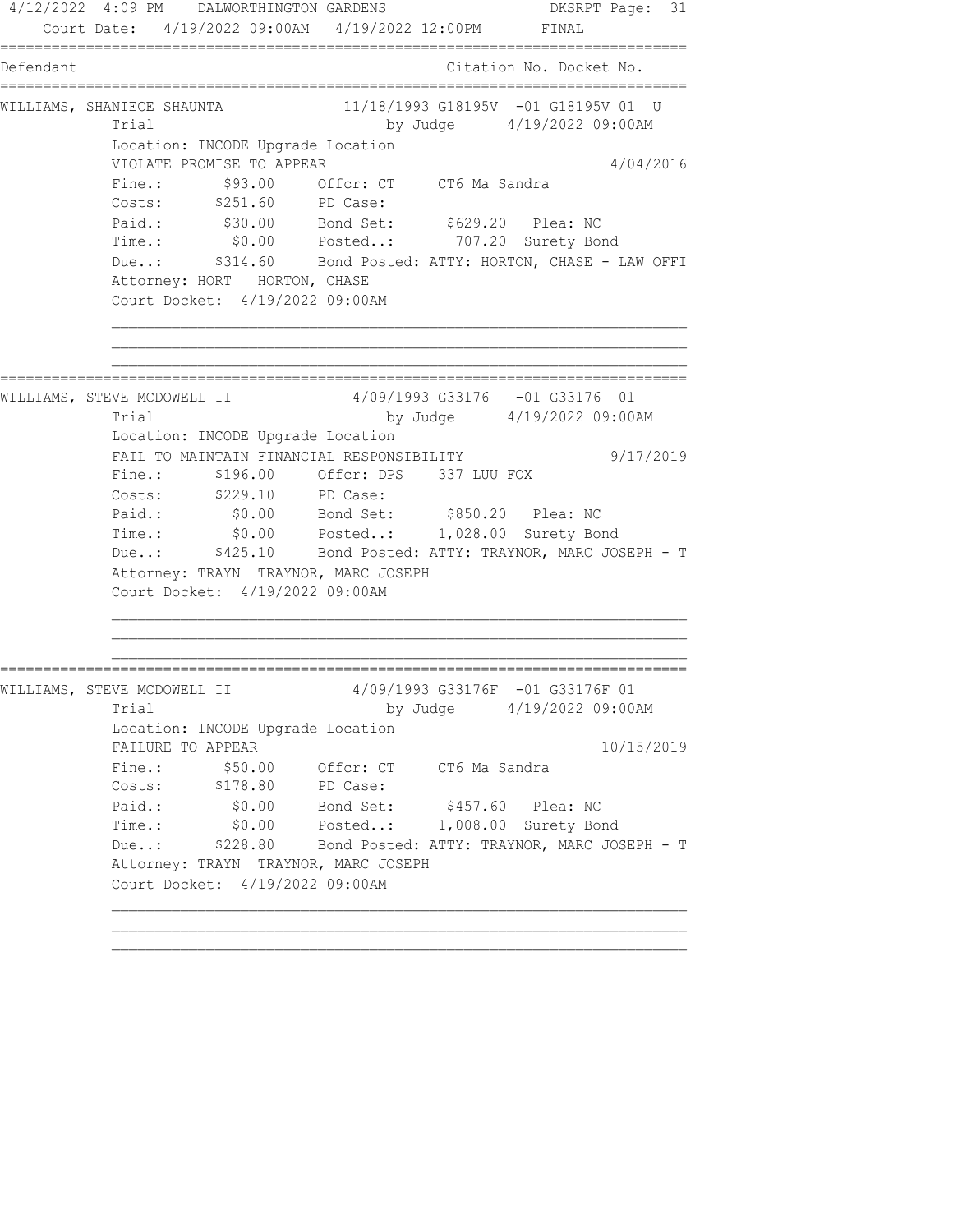4/12/2022 4:09 PM DALWORTHINGTON GARDENS DKSRPT Page: 31 Court Date: 4/19/2022 09:00AM 4/19/2022 12:00PM FINAL ================================================================================ Defendant Citation No. Docket No. ================================================================================ WILLIAMS, SHANIECE SHAUNTA 11/18/1993 G18195V -01 G18195V 01 U Trial by Judge 4/19/2022 09:00AM Location: INCODE Upgrade Location VIOLATE PROMISE TO APPEAR 4/04/2016 Fine.:  $$93.00$  Offcr: CT CT6 Ma Sandra Costs: \$251.60 PD Case: Paid.: \$30.00 Bond Set: \$629.20 Plea: NC Time.: \$0.00 Posted..: 707.20 Surety Bond Due..: \$314.60 Bond Posted: ATTY: HORTON, CHASE - LAW OFFI Attorney: HORT HORTON, CHASE Court Docket: 4/19/2022 09:00AM ================================================================================ WILLIAMS, STEVE MCDOWELL II  $4/09/1993$  G33176 -01 G33176 01 Trial by Judge 4/19/2022 09:00AM Location: INCODE Upgrade Location FAIL TO MAINTAIN FINANCIAL RESPONSIBILITY 9/17/2019 Fine.: \$196.00 Offcr: DPS 337 LUU FOX Costs: \$229.10 PD Case: Paid.: \$0.00 Bond Set: \$850.20 Plea: NC Time.: \$0.00 Posted..: 1,028.00 Surety Bond Due..: \$425.10 Bond Posted: ATTY: TRAYNOR, MARC JOSEPH - T Attorney: TRAYN TRAYNOR, MARC JOSEPH Court Docket: 4/19/2022 09:00AM ================================================================================ WILLIAMS, STEVE MCDOWELL II  $4/09/1993$  G33176F -01 G33176F 01 Trial by Judge  $4/19/2022$  09:00AM Location: INCODE Upgrade Location FAILURE TO APPEAR 10/15/2019 Fine.:  $$50.00$  Offcr: CT CT6 Ma Sandra Costs: \$178.80 PD Case: Paid.: \$0.00 Bond Set: \$457.60 Plea: NC Time.: \$0.00 Posted..: 1,008.00 Surety Bond Due..: \$228.80 Bond Posted: ATTY: TRAYNOR, MARC JOSEPH - T Attorney: TRAYN TRAYNOR, MARC JOSEPH Court Docket: 4/19/2022 09:00AM